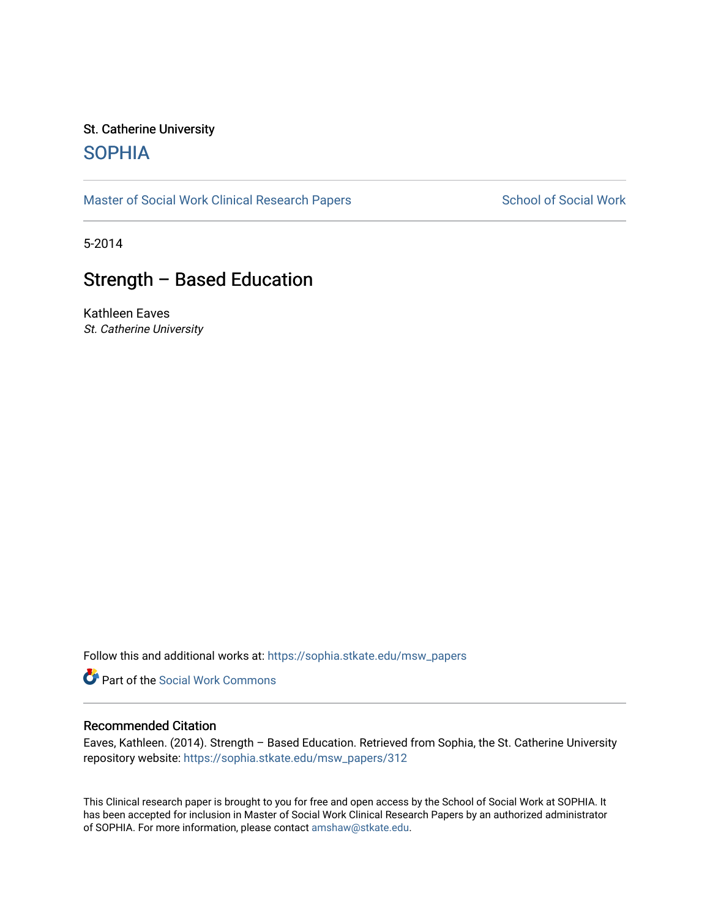# St. Catherine University **SOPHIA**

[Master of Social Work Clinical Research Papers](https://sophia.stkate.edu/msw_papers) School of Social Work

5-2014

# Strength – Based Education

Kathleen Eaves St. Catherine University

Follow this and additional works at: [https://sophia.stkate.edu/msw\\_papers](https://sophia.stkate.edu/msw_papers?utm_source=sophia.stkate.edu%2Fmsw_papers%2F312&utm_medium=PDF&utm_campaign=PDFCoverPages) 

Part of the [Social Work Commons](http://network.bepress.com/hgg/discipline/713?utm_source=sophia.stkate.edu%2Fmsw_papers%2F312&utm_medium=PDF&utm_campaign=PDFCoverPages)

#### Recommended Citation

Eaves, Kathleen. (2014). Strength – Based Education. Retrieved from Sophia, the St. Catherine University repository website: [https://sophia.stkate.edu/msw\\_papers/312](https://sophia.stkate.edu/msw_papers/312?utm_source=sophia.stkate.edu%2Fmsw_papers%2F312&utm_medium=PDF&utm_campaign=PDFCoverPages)

This Clinical research paper is brought to you for free and open access by the School of Social Work at SOPHIA. It has been accepted for inclusion in Master of Social Work Clinical Research Papers by an authorized administrator of SOPHIA. For more information, please contact [amshaw@stkate.edu.](mailto:amshaw@stkate.edu)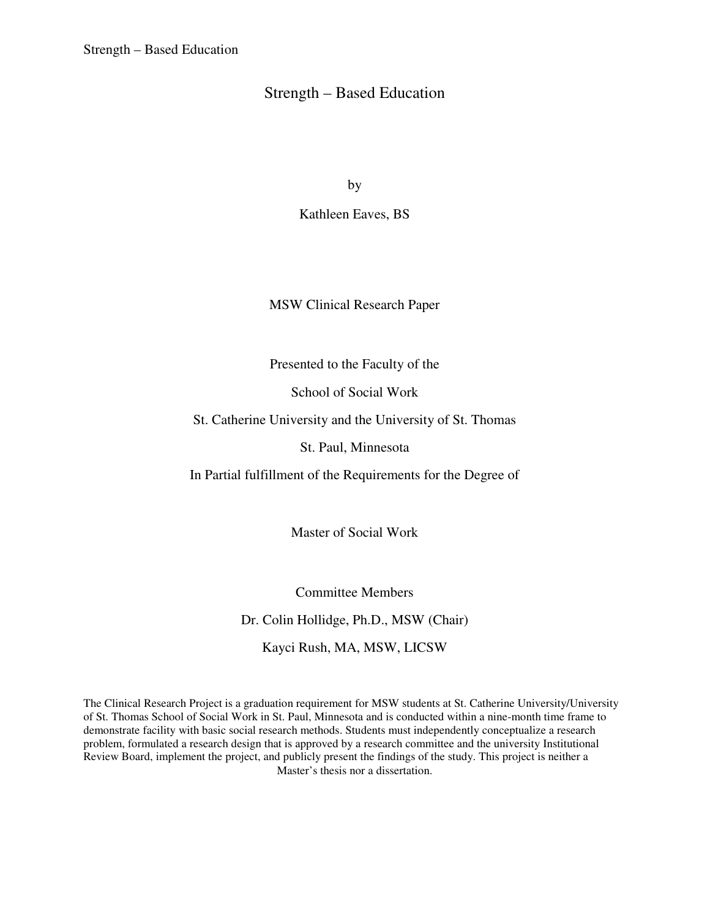by

Kathleen Eaves, BS

MSW Clinical Research Paper

Presented to the Faculty of the

School of Social Work

St. Catherine University and the University of St. Thomas

St. Paul, Minnesota

In Partial fulfillment of the Requirements for the Degree of

Master of Social Work

Committee Members Dr. Colin Hollidge, Ph.D., MSW (Chair) Kayci Rush, MA, MSW, LICSW

The Clinical Research Project is a graduation requirement for MSW students at St. Catherine University/University of St. Thomas School of Social Work in St. Paul, Minnesota and is conducted within a nine-month time frame to demonstrate facility with basic social research methods. Students must independently conceptualize a research problem, formulated a research design that is approved by a research committee and the university Institutional Review Board, implement the project, and publicly present the findings of the study. This project is neither a Master's thesis nor a dissertation.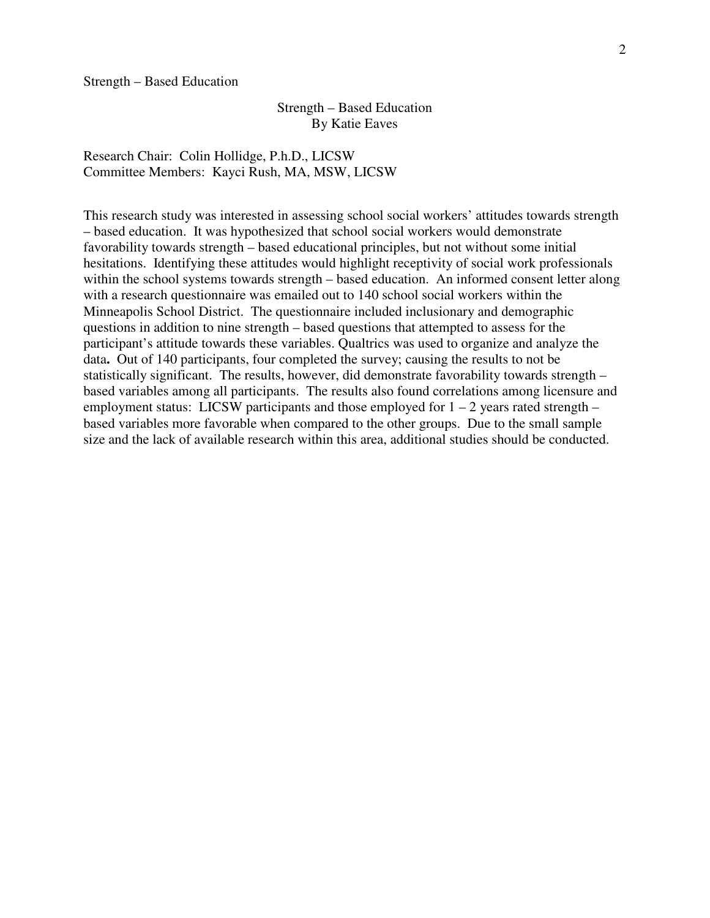### Strength – Based Education By Katie Eaves

Research Chair: Colin Hollidge, P.h.D., LICSW Committee Members: Kayci Rush, MA, MSW, LICSW

This research study was interested in assessing school social workers' attitudes towards strength – based education. It was hypothesized that school social workers would demonstrate favorability towards strength – based educational principles, but not without some initial hesitations. Identifying these attitudes would highlight receptivity of social work professionals within the school systems towards strength – based education. An informed consent letter along with a research questionnaire was emailed out to 140 school social workers within the Minneapolis School District. The questionnaire included inclusionary and demographic questions in addition to nine strength – based questions that attempted to assess for the participant's attitude towards these variables. Qualtrics was used to organize and analyze the data**.** Out of 140 participants, four completed the survey; causing the results to not be statistically significant. The results, however, did demonstrate favorability towards strength – based variables among all participants. The results also found correlations among licensure and employment status: LICSW participants and those employed for  $1 - 2$  years rated strength – based variables more favorable when compared to the other groups. Due to the small sample size and the lack of available research within this area, additional studies should be conducted.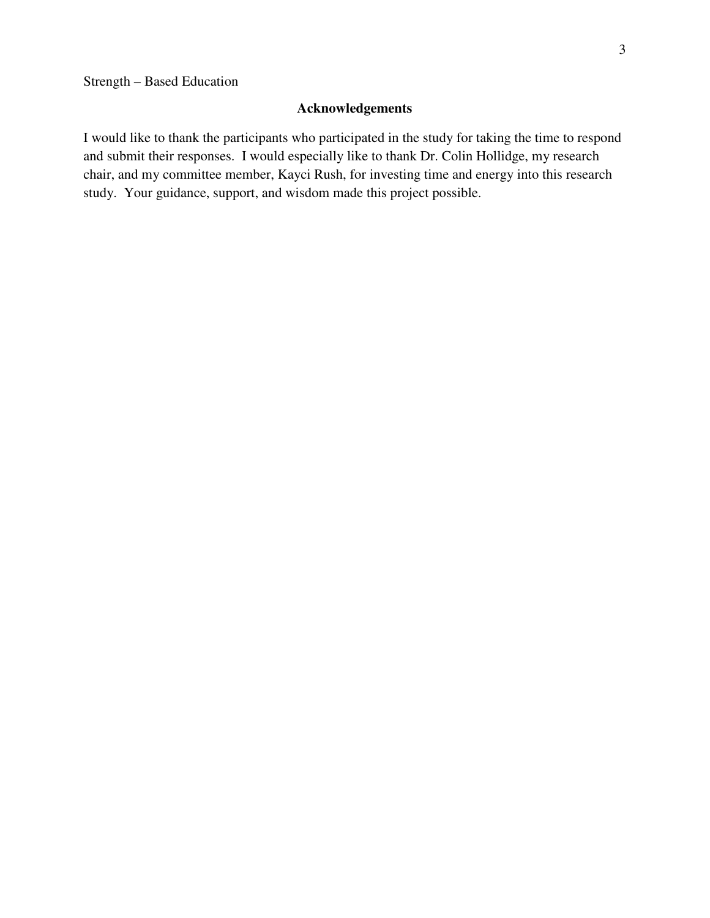## **Acknowledgements**

I would like to thank the participants who participated in the study for taking the time to respond and submit their responses. I would especially like to thank Dr. Colin Hollidge, my research chair, and my committee member, Kayci Rush, for investing time and energy into this research study. Your guidance, support, and wisdom made this project possible.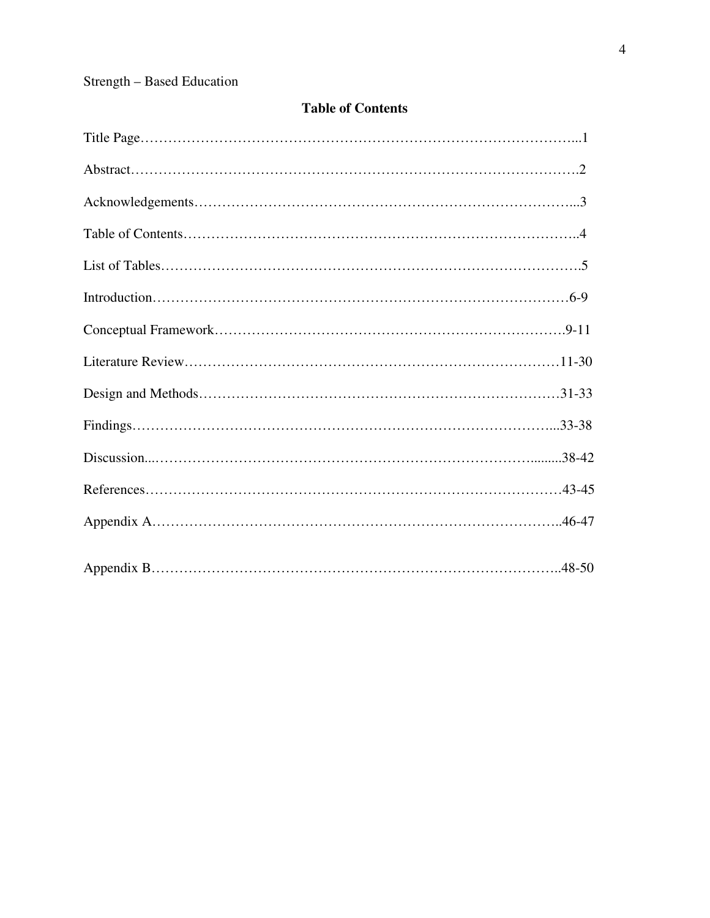## **Table of Contents**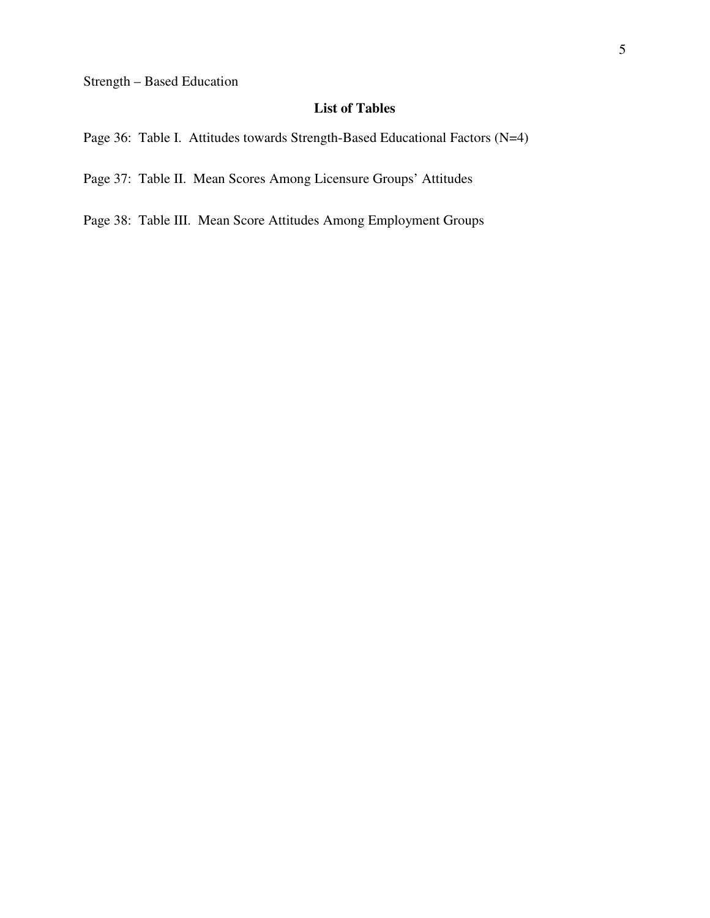### **List of Tables**

Page 36: Table I. Attitudes towards Strength-Based Educational Factors (N=4)

Page 37: Table II. Mean Scores Among Licensure Groups' Attitudes

Page 38: Table III. Mean Score Attitudes Among Employment Groups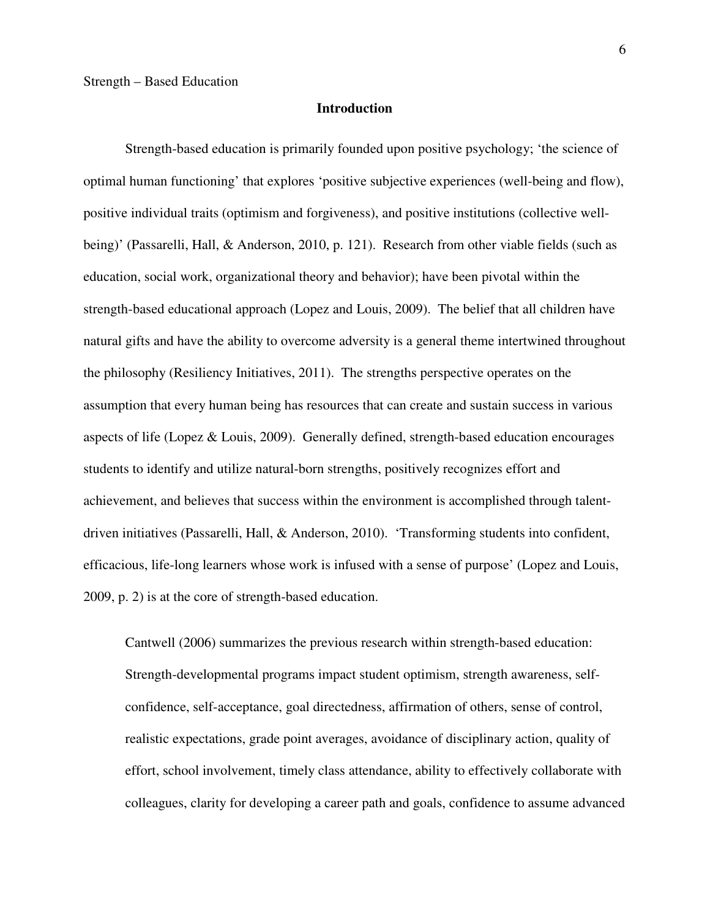#### **Introduction**

Strength-based education is primarily founded upon positive psychology; 'the science of optimal human functioning' that explores 'positive subjective experiences (well-being and flow), positive individual traits (optimism and forgiveness), and positive institutions (collective wellbeing)' (Passarelli, Hall, & Anderson, 2010, p. 121). Research from other viable fields (such as education, social work, organizational theory and behavior); have been pivotal within the strength-based educational approach (Lopez and Louis, 2009). The belief that all children have natural gifts and have the ability to overcome adversity is a general theme intertwined throughout the philosophy (Resiliency Initiatives, 2011). The strengths perspective operates on the assumption that every human being has resources that can create and sustain success in various aspects of life (Lopez & Louis, 2009). Generally defined, strength-based education encourages students to identify and utilize natural-born strengths, positively recognizes effort and achievement, and believes that success within the environment is accomplished through talentdriven initiatives (Passarelli, Hall, & Anderson, 2010). 'Transforming students into confident, efficacious, life-long learners whose work is infused with a sense of purpose' (Lopez and Louis, 2009, p. 2) is at the core of strength-based education.

Cantwell (2006) summarizes the previous research within strength-based education: Strength-developmental programs impact student optimism, strength awareness, selfconfidence, self-acceptance, goal directedness, affirmation of others, sense of control, realistic expectations, grade point averages, avoidance of disciplinary action, quality of effort, school involvement, timely class attendance, ability to effectively collaborate with colleagues, clarity for developing a career path and goals, confidence to assume advanced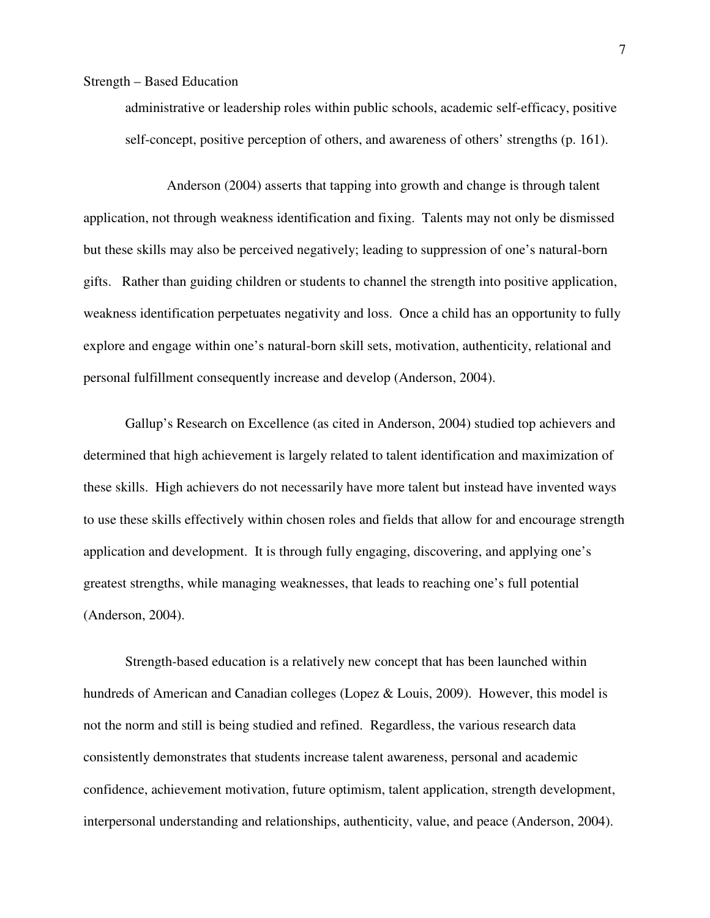administrative or leadership roles within public schools, academic self-efficacy, positive self-concept, positive perception of others, and awareness of others' strengths (p. 161).

 Anderson (2004) asserts that tapping into growth and change is through talent application, not through weakness identification and fixing. Talents may not only be dismissed but these skills may also be perceived negatively; leading to suppression of one's natural-born gifts. Rather than guiding children or students to channel the strength into positive application, weakness identification perpetuates negativity and loss. Once a child has an opportunity to fully explore and engage within one's natural-born skill sets, motivation, authenticity, relational and personal fulfillment consequently increase and develop (Anderson, 2004).

Gallup's Research on Excellence (as cited in Anderson, 2004) studied top achievers and determined that high achievement is largely related to talent identification and maximization of these skills. High achievers do not necessarily have more talent but instead have invented ways to use these skills effectively within chosen roles and fields that allow for and encourage strength application and development. It is through fully engaging, discovering, and applying one's greatest strengths, while managing weaknesses, that leads to reaching one's full potential (Anderson, 2004).

Strength-based education is a relatively new concept that has been launched within hundreds of American and Canadian colleges (Lopez & Louis, 2009). However, this model is not the norm and still is being studied and refined. Regardless, the various research data consistently demonstrates that students increase talent awareness, personal and academic confidence, achievement motivation, future optimism, talent application, strength development, interpersonal understanding and relationships, authenticity, value, and peace (Anderson, 2004).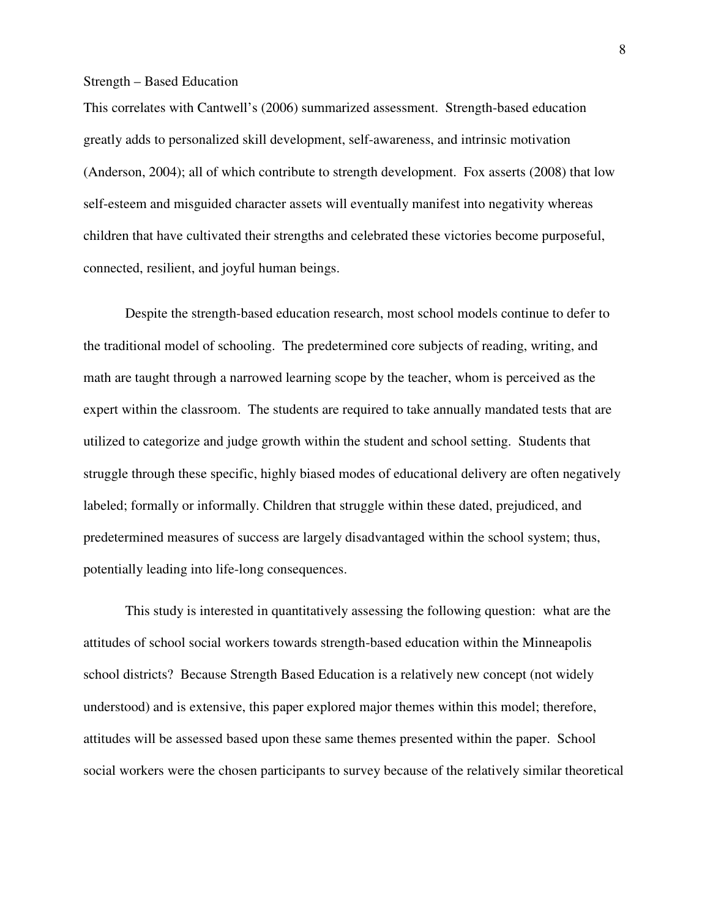This correlates with Cantwell's (2006) summarized assessment. Strength-based education greatly adds to personalized skill development, self-awareness, and intrinsic motivation (Anderson, 2004); all of which contribute to strength development. Fox asserts (2008) that low self-esteem and misguided character assets will eventually manifest into negativity whereas children that have cultivated their strengths and celebrated these victories become purposeful, connected, resilient, and joyful human beings.

Despite the strength-based education research, most school models continue to defer to the traditional model of schooling. The predetermined core subjects of reading, writing, and math are taught through a narrowed learning scope by the teacher, whom is perceived as the expert within the classroom. The students are required to take annually mandated tests that are utilized to categorize and judge growth within the student and school setting. Students that struggle through these specific, highly biased modes of educational delivery are often negatively labeled; formally or informally. Children that struggle within these dated, prejudiced, and predetermined measures of success are largely disadvantaged within the school system; thus, potentially leading into life-long consequences.

This study is interested in quantitatively assessing the following question: what are the attitudes of school social workers towards strength-based education within the Minneapolis school districts? Because Strength Based Education is a relatively new concept (not widely understood) and is extensive, this paper explored major themes within this model; therefore, attitudes will be assessed based upon these same themes presented within the paper. School social workers were the chosen participants to survey because of the relatively similar theoretical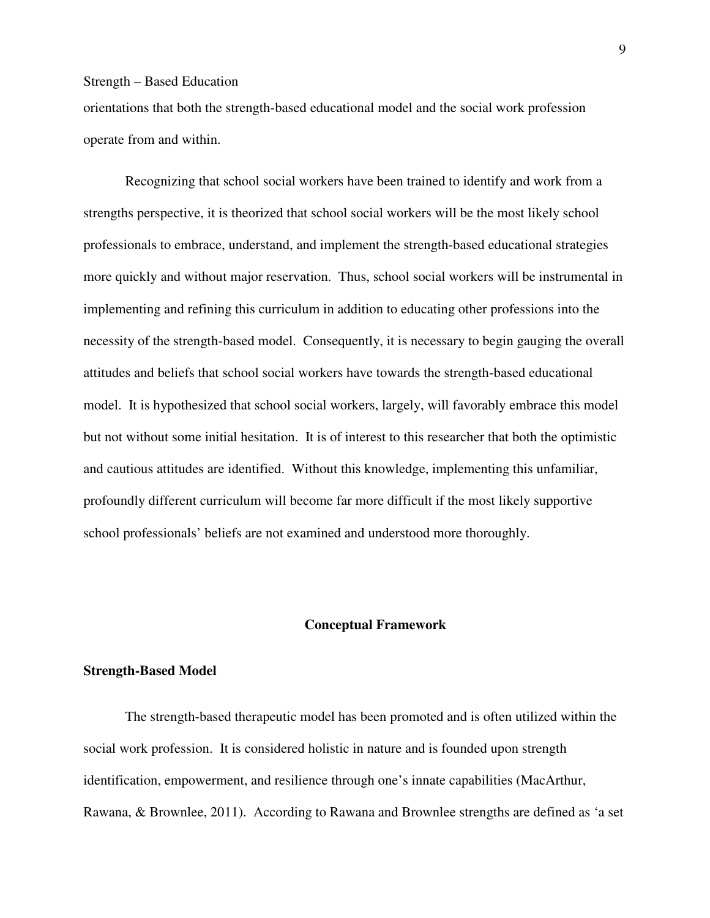orientations that both the strength-based educational model and the social work profession operate from and within.

Recognizing that school social workers have been trained to identify and work from a strengths perspective, it is theorized that school social workers will be the most likely school professionals to embrace, understand, and implement the strength-based educational strategies more quickly and without major reservation. Thus, school social workers will be instrumental in implementing and refining this curriculum in addition to educating other professions into the necessity of the strength-based model. Consequently, it is necessary to begin gauging the overall attitudes and beliefs that school social workers have towards the strength-based educational model. It is hypothesized that school social workers, largely, will favorably embrace this model but not without some initial hesitation. It is of interest to this researcher that both the optimistic and cautious attitudes are identified. Without this knowledge, implementing this unfamiliar, profoundly different curriculum will become far more difficult if the most likely supportive school professionals' beliefs are not examined and understood more thoroughly.

#### **Conceptual Framework**

#### **Strength-Based Model**

The strength-based therapeutic model has been promoted and is often utilized within the social work profession. It is considered holistic in nature and is founded upon strength identification, empowerment, and resilience through one's innate capabilities (MacArthur, Rawana, & Brownlee, 2011). According to Rawana and Brownlee strengths are defined as 'a set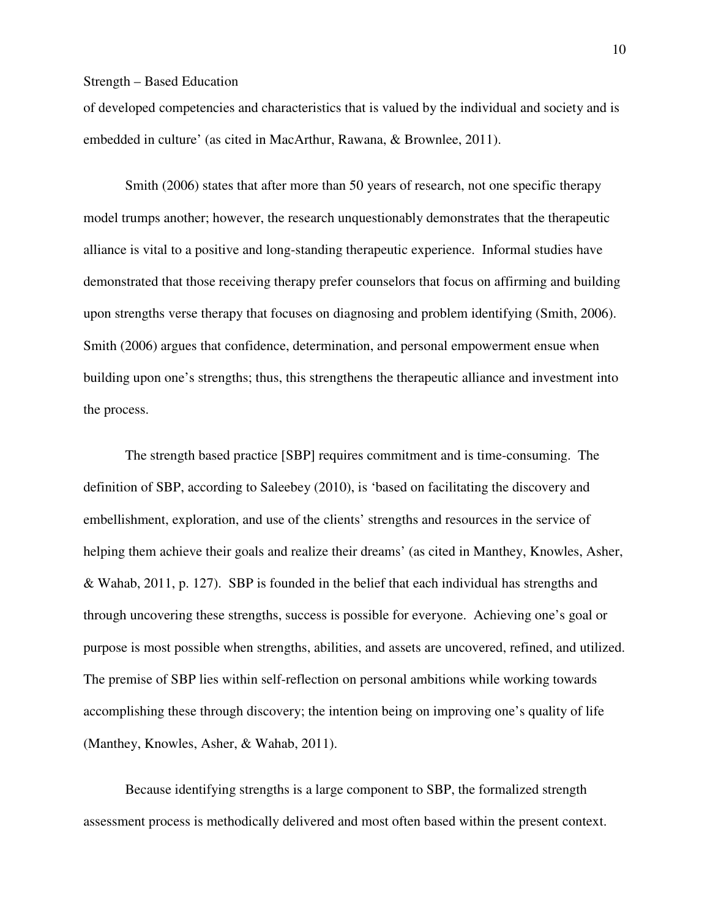of developed competencies and characteristics that is valued by the individual and society and is embedded in culture' (as cited in MacArthur, Rawana, & Brownlee, 2011).

Smith (2006) states that after more than 50 years of research, not one specific therapy model trumps another; however, the research unquestionably demonstrates that the therapeutic alliance is vital to a positive and long-standing therapeutic experience. Informal studies have demonstrated that those receiving therapy prefer counselors that focus on affirming and building upon strengths verse therapy that focuses on diagnosing and problem identifying (Smith, 2006). Smith (2006) argues that confidence, determination, and personal empowerment ensue when building upon one's strengths; thus, this strengthens the therapeutic alliance and investment into the process.

The strength based practice [SBP] requires commitment and is time-consuming. The definition of SBP, according to Saleebey (2010), is 'based on facilitating the discovery and embellishment, exploration, and use of the clients' strengths and resources in the service of helping them achieve their goals and realize their dreams' (as cited in Manthey, Knowles, Asher, & Wahab, 2011, p. 127). SBP is founded in the belief that each individual has strengths and through uncovering these strengths, success is possible for everyone. Achieving one's goal or purpose is most possible when strengths, abilities, and assets are uncovered, refined, and utilized. The premise of SBP lies within self-reflection on personal ambitions while working towards accomplishing these through discovery; the intention being on improving one's quality of life (Manthey, Knowles, Asher, & Wahab, 2011).

Because identifying strengths is a large component to SBP, the formalized strength assessment process is methodically delivered and most often based within the present context.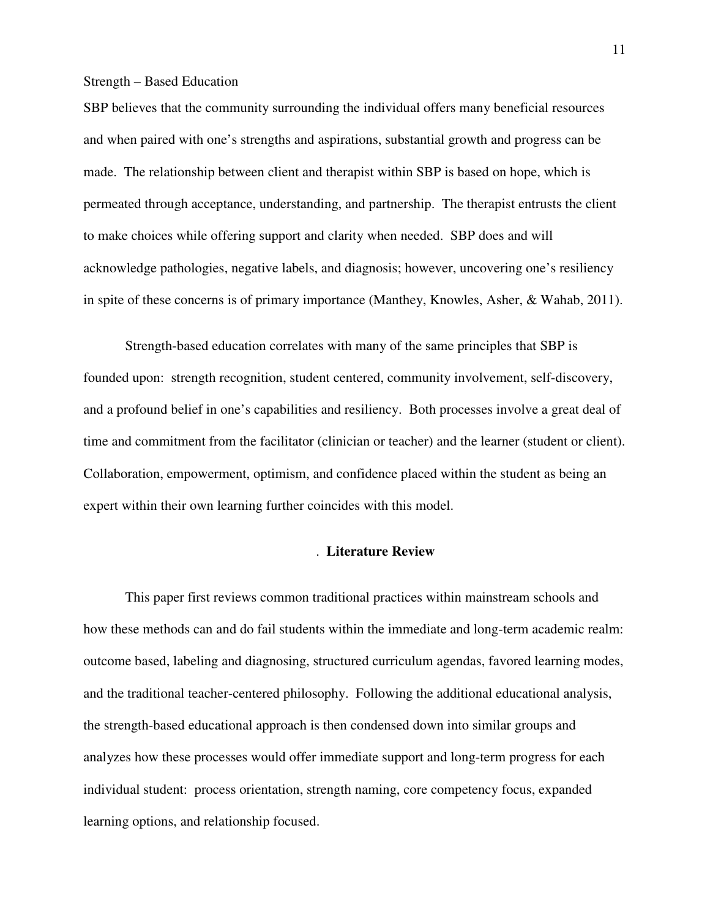SBP believes that the community surrounding the individual offers many beneficial resources and when paired with one's strengths and aspirations, substantial growth and progress can be made. The relationship between client and therapist within SBP is based on hope, which is permeated through acceptance, understanding, and partnership. The therapist entrusts the client to make choices while offering support and clarity when needed. SBP does and will acknowledge pathologies, negative labels, and diagnosis; however, uncovering one's resiliency in spite of these concerns is of primary importance (Manthey, Knowles, Asher, & Wahab, 2011).

Strength-based education correlates with many of the same principles that SBP is founded upon: strength recognition, student centered, community involvement, self-discovery, and a profound belief in one's capabilities and resiliency. Both processes involve a great deal of time and commitment from the facilitator (clinician or teacher) and the learner (student or client). Collaboration, empowerment, optimism, and confidence placed within the student as being an expert within their own learning further coincides with this model.

#### . **Literature Review**

This paper first reviews common traditional practices within mainstream schools and how these methods can and do fail students within the immediate and long-term academic realm: outcome based, labeling and diagnosing, structured curriculum agendas, favored learning modes, and the traditional teacher-centered philosophy. Following the additional educational analysis, the strength-based educational approach is then condensed down into similar groups and analyzes how these processes would offer immediate support and long-term progress for each individual student: process orientation, strength naming, core competency focus, expanded learning options, and relationship focused.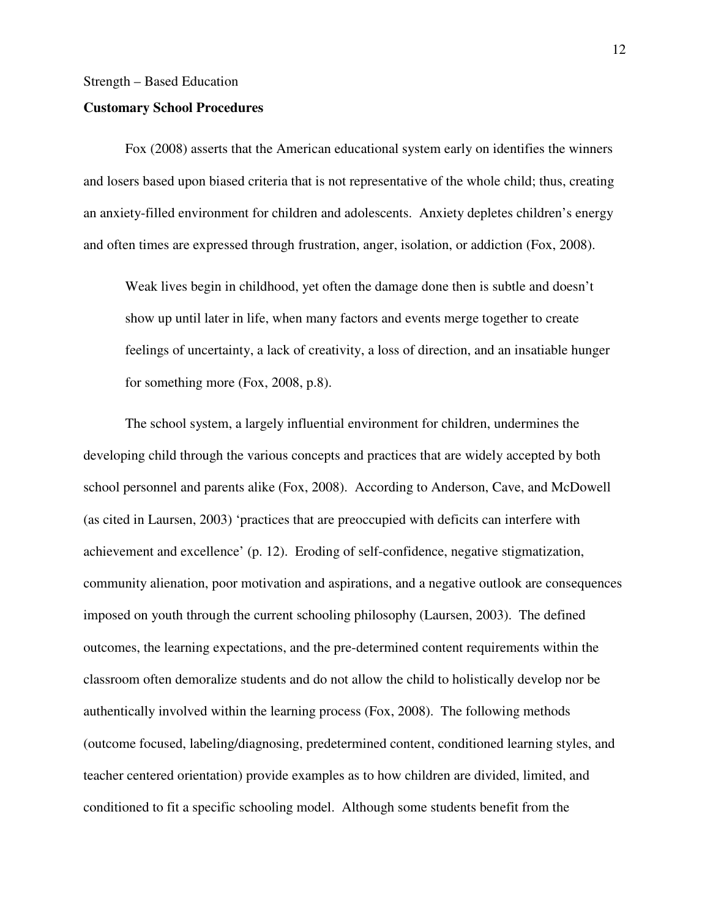#### **Customary School Procedures**

 Fox (2008) asserts that the American educational system early on identifies the winners and losers based upon biased criteria that is not representative of the whole child; thus, creating an anxiety-filled environment for children and adolescents. Anxiety depletes children's energy and often times are expressed through frustration, anger, isolation, or addiction (Fox, 2008).

Weak lives begin in childhood, yet often the damage done then is subtle and doesn't show up until later in life, when many factors and events merge together to create feelings of uncertainty, a lack of creativity, a loss of direction, and an insatiable hunger for something more (Fox, 2008, p.8).

 The school system, a largely influential environment for children, undermines the developing child through the various concepts and practices that are widely accepted by both school personnel and parents alike (Fox, 2008). According to Anderson, Cave, and McDowell (as cited in Laursen, 2003) 'practices that are preoccupied with deficits can interfere with achievement and excellence' (p. 12). Eroding of self-confidence, negative stigmatization, community alienation, poor motivation and aspirations, and a negative outlook are consequences imposed on youth through the current schooling philosophy (Laursen, 2003). The defined outcomes, the learning expectations, and the pre-determined content requirements within the classroom often demoralize students and do not allow the child to holistically develop nor be authentically involved within the learning process (Fox, 2008). The following methods (outcome focused, labeling/diagnosing, predetermined content, conditioned learning styles, and teacher centered orientation) provide examples as to how children are divided, limited, and conditioned to fit a specific schooling model. Although some students benefit from the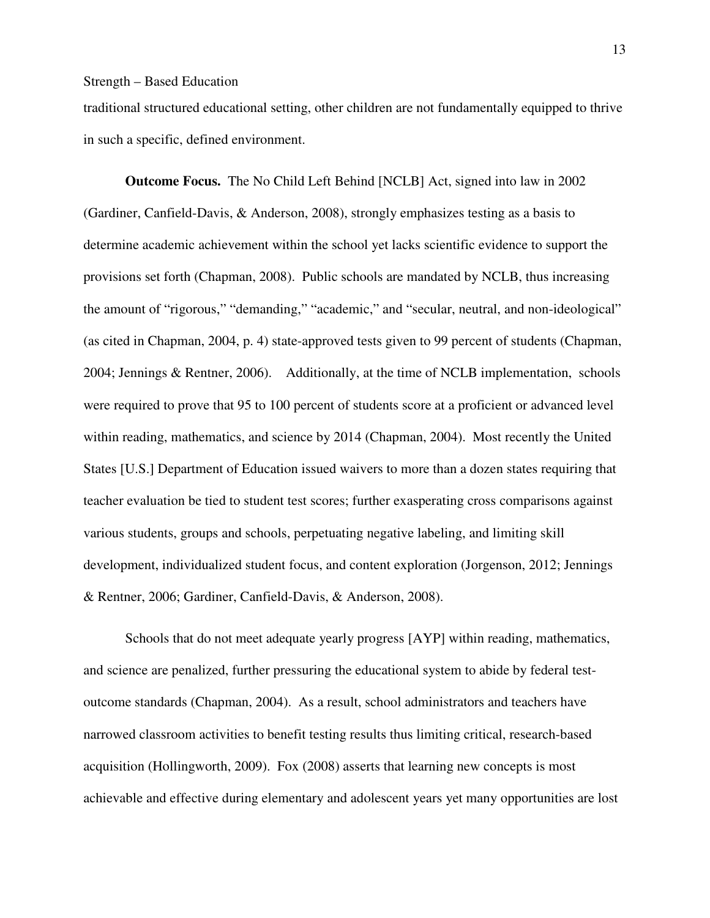traditional structured educational setting, other children are not fundamentally equipped to thrive in such a specific, defined environment.

**Outcome Focus.** The No Child Left Behind [NCLB] Act, signed into law in 2002 (Gardiner, Canfield-Davis, & Anderson, 2008), strongly emphasizes testing as a basis to determine academic achievement within the school yet lacks scientific evidence to support the provisions set forth (Chapman, 2008). Public schools are mandated by NCLB, thus increasing the amount of "rigorous," "demanding," "academic," and "secular, neutral, and non-ideological" (as cited in Chapman, 2004, p. 4) state-approved tests given to 99 percent of students (Chapman, 2004; Jennings & Rentner, 2006). Additionally, at the time of NCLB implementation, schools were required to prove that 95 to 100 percent of students score at a proficient or advanced level within reading, mathematics, and science by 2014 (Chapman, 2004). Most recently the United States [U.S.] Department of Education issued waivers to more than a dozen states requiring that teacher evaluation be tied to student test scores; further exasperating cross comparisons against various students, groups and schools, perpetuating negative labeling, and limiting skill development, individualized student focus, and content exploration (Jorgenson, 2012; Jennings & Rentner, 2006; Gardiner, Canfield-Davis, & Anderson, 2008).

Schools that do not meet adequate yearly progress [AYP] within reading, mathematics, and science are penalized, further pressuring the educational system to abide by federal testoutcome standards (Chapman, 2004). As a result, school administrators and teachers have narrowed classroom activities to benefit testing results thus limiting critical, research-based acquisition (Hollingworth, 2009). Fox (2008) asserts that learning new concepts is most achievable and effective during elementary and adolescent years yet many opportunities are lost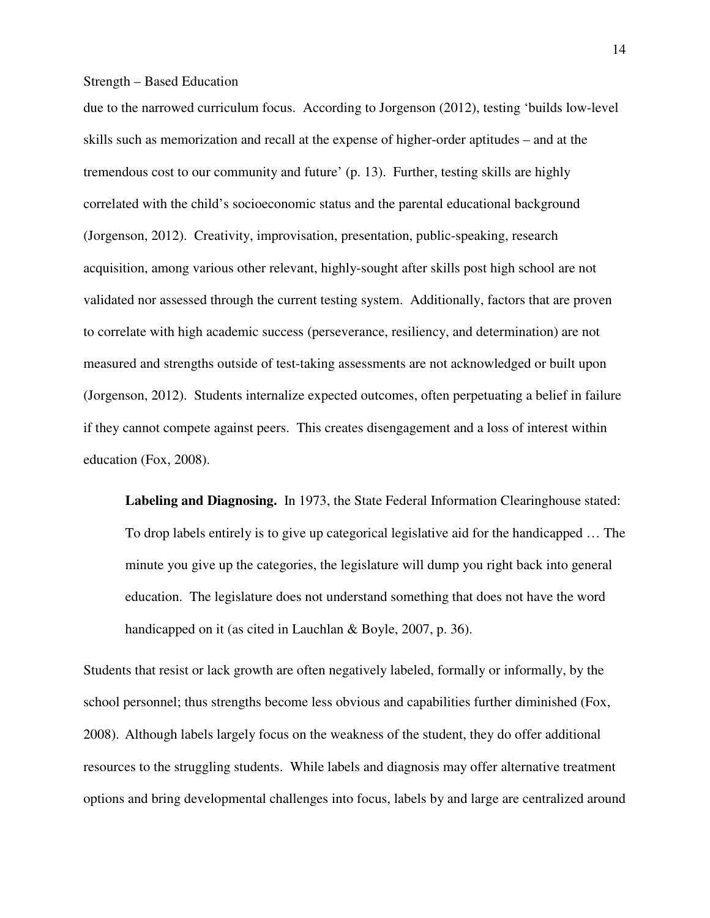due to the narrowed curriculum focus. According to Jorgenson (2012), testing 'builds low-level skills such as memorization and recall at the expense of higher-order aptitudes – and at the tremendous cost to our community and future' (p. 13). Further, testing skills are highly correlated with the child's socioeconomic status and the parental educational background (Jorgenson, 2012). Creativity, improvisation, presentation, public-speaking, research acquisition, among various other relevant, highly-sought after skills post high school are not validated nor assessed through the current testing system. Additionally, factors that are proven to correlate with high academic success (perseverance, resiliency, and determination) are not measured and strengths outside of test-taking assessments are not acknowledged or built upon (Jorgenson, 2012). Students internalize expected outcomes, often perpetuating a belief in failure if they cannot compete against peers. This creates disengagement and a loss of interest within education (Fox, 2008).

**Labeling and Diagnosing.** In 1973, the State Federal Information Clearinghouse stated: To drop labels entirely is to give up categorical legislative aid for the handicapped … The minute you give up the categories, the legislature will dump you right back into general education. The legislature does not understand something that does not have the word handicapped on it (as cited in Lauchlan & Boyle, 2007, p. 36).

Students that resist or lack growth are often negatively labeled, formally or informally, by the school personnel; thus strengths become less obvious and capabilities further diminished (Fox, 2008). Although labels largely focus on the weakness of the student, they do offer additional resources to the struggling students. While labels and diagnosis may offer alternative treatment options and bring developmental challenges into focus, labels by and large are centralized around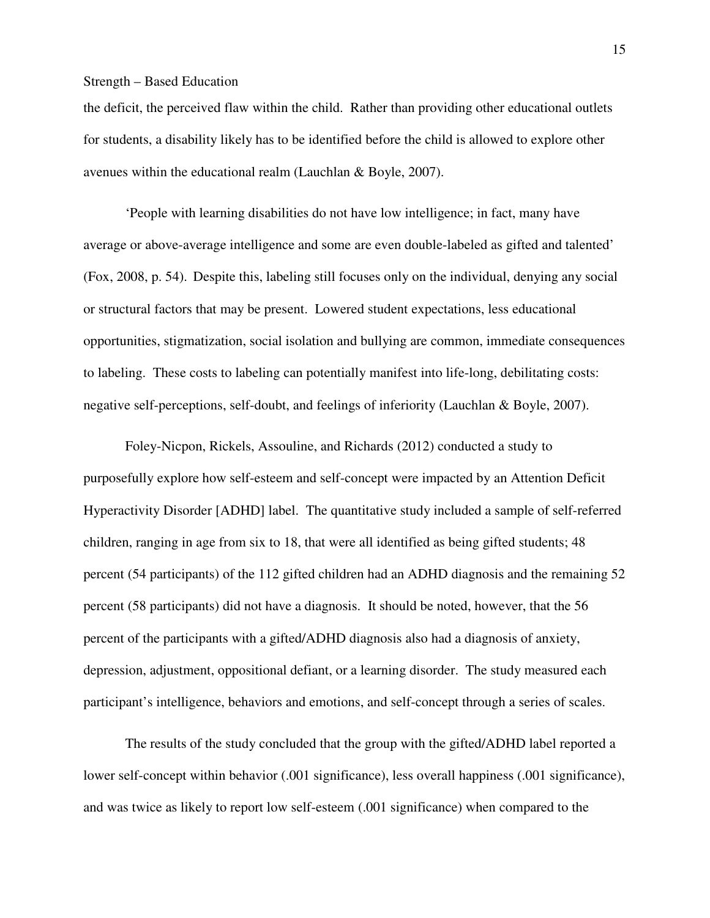the deficit, the perceived flaw within the child. Rather than providing other educational outlets for students, a disability likely has to be identified before the child is allowed to explore other avenues within the educational realm (Lauchlan & Boyle, 2007).

'People with learning disabilities do not have low intelligence; in fact, many have average or above-average intelligence and some are even double-labeled as gifted and talented' (Fox, 2008, p. 54). Despite this, labeling still focuses only on the individual, denying any social or structural factors that may be present. Lowered student expectations, less educational opportunities, stigmatization, social isolation and bullying are common, immediate consequences to labeling. These costs to labeling can potentially manifest into life-long, debilitating costs: negative self-perceptions, self-doubt, and feelings of inferiority (Lauchlan & Boyle, 2007).

Foley-Nicpon, Rickels, Assouline, and Richards (2012) conducted a study to purposefully explore how self-esteem and self-concept were impacted by an Attention Deficit Hyperactivity Disorder [ADHD] label. The quantitative study included a sample of self-referred children, ranging in age from six to 18, that were all identified as being gifted students; 48 percent (54 participants) of the 112 gifted children had an ADHD diagnosis and the remaining 52 percent (58 participants) did not have a diagnosis. It should be noted, however, that the 56 percent of the participants with a gifted/ADHD diagnosis also had a diagnosis of anxiety, depression, adjustment, oppositional defiant, or a learning disorder. The study measured each participant's intelligence, behaviors and emotions, and self-concept through a series of scales.

The results of the study concluded that the group with the gifted/ADHD label reported a lower self-concept within behavior (.001 significance), less overall happiness (.001 significance), and was twice as likely to report low self-esteem (.001 significance) when compared to the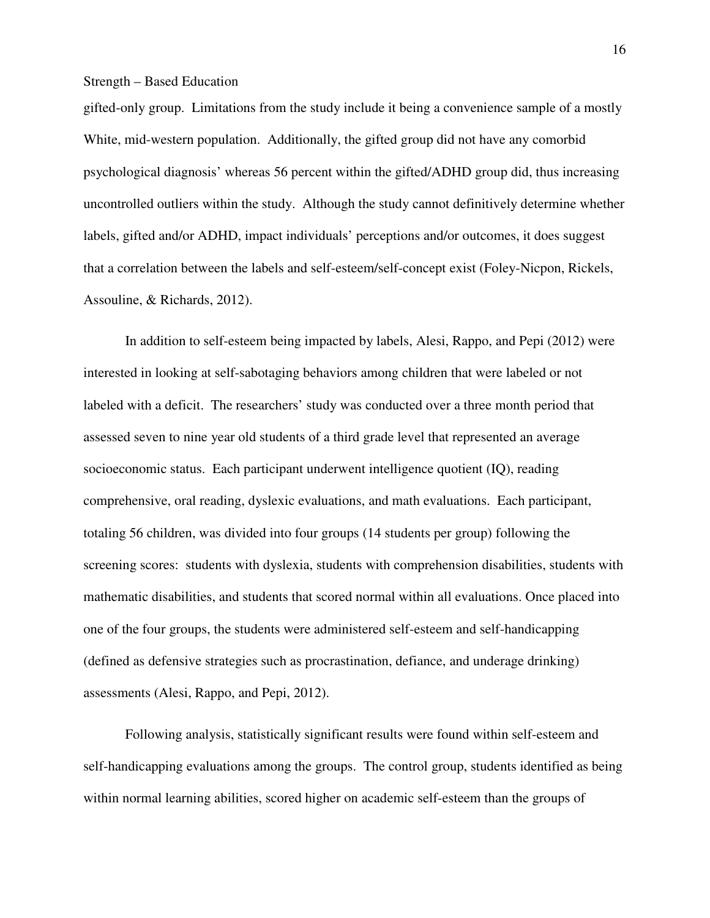gifted-only group. Limitations from the study include it being a convenience sample of a mostly White, mid-western population. Additionally, the gifted group did not have any comorbid psychological diagnosis' whereas 56 percent within the gifted/ADHD group did, thus increasing uncontrolled outliers within the study. Although the study cannot definitively determine whether labels, gifted and/or ADHD, impact individuals' perceptions and/or outcomes, it does suggest that a correlation between the labels and self-esteem/self-concept exist (Foley-Nicpon, Rickels, Assouline, & Richards, 2012).

In addition to self-esteem being impacted by labels, Alesi, Rappo, and Pepi (2012) were interested in looking at self-sabotaging behaviors among children that were labeled or not labeled with a deficit. The researchers' study was conducted over a three month period that assessed seven to nine year old students of a third grade level that represented an average socioeconomic status. Each participant underwent intelligence quotient (IQ), reading comprehensive, oral reading, dyslexic evaluations, and math evaluations. Each participant, totaling 56 children, was divided into four groups (14 students per group) following the screening scores: students with dyslexia, students with comprehension disabilities, students with mathematic disabilities, and students that scored normal within all evaluations. Once placed into one of the four groups, the students were administered self-esteem and self-handicapping (defined as defensive strategies such as procrastination, defiance, and underage drinking) assessments (Alesi, Rappo, and Pepi, 2012).

Following analysis, statistically significant results were found within self-esteem and self-handicapping evaluations among the groups. The control group, students identified as being within normal learning abilities, scored higher on academic self-esteem than the groups of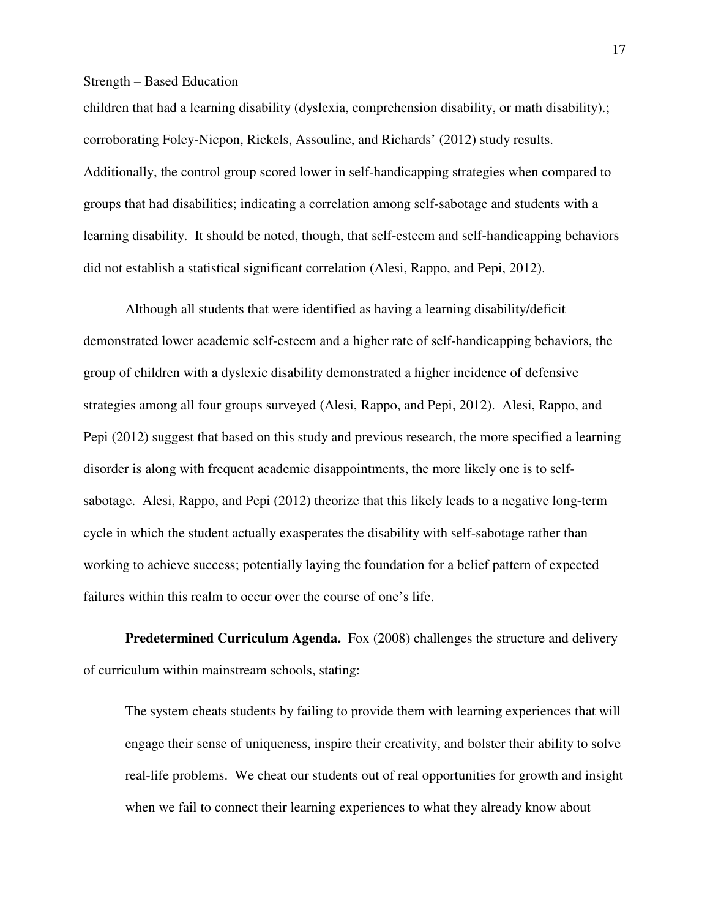children that had a learning disability (dyslexia, comprehension disability, or math disability).; corroborating Foley-Nicpon, Rickels, Assouline, and Richards' (2012) study results. Additionally, the control group scored lower in self-handicapping strategies when compared to groups that had disabilities; indicating a correlation among self-sabotage and students with a learning disability. It should be noted, though, that self-esteem and self-handicapping behaviors did not establish a statistical significant correlation (Alesi, Rappo, and Pepi, 2012).

Although all students that were identified as having a learning disability/deficit demonstrated lower academic self-esteem and a higher rate of self-handicapping behaviors, the group of children with a dyslexic disability demonstrated a higher incidence of defensive strategies among all four groups surveyed (Alesi, Rappo, and Pepi, 2012). Alesi, Rappo, and Pepi (2012) suggest that based on this study and previous research, the more specified a learning disorder is along with frequent academic disappointments, the more likely one is to selfsabotage. Alesi, Rappo, and Pepi (2012) theorize that this likely leads to a negative long-term cycle in which the student actually exasperates the disability with self-sabotage rather than working to achieve success; potentially laying the foundation for a belief pattern of expected failures within this realm to occur over the course of one's life.

**Predetermined Curriculum Agenda.** Fox (2008) challenges the structure and delivery of curriculum within mainstream schools, stating:

The system cheats students by failing to provide them with learning experiences that will engage their sense of uniqueness, inspire their creativity, and bolster their ability to solve real-life problems. We cheat our students out of real opportunities for growth and insight when we fail to connect their learning experiences to what they already know about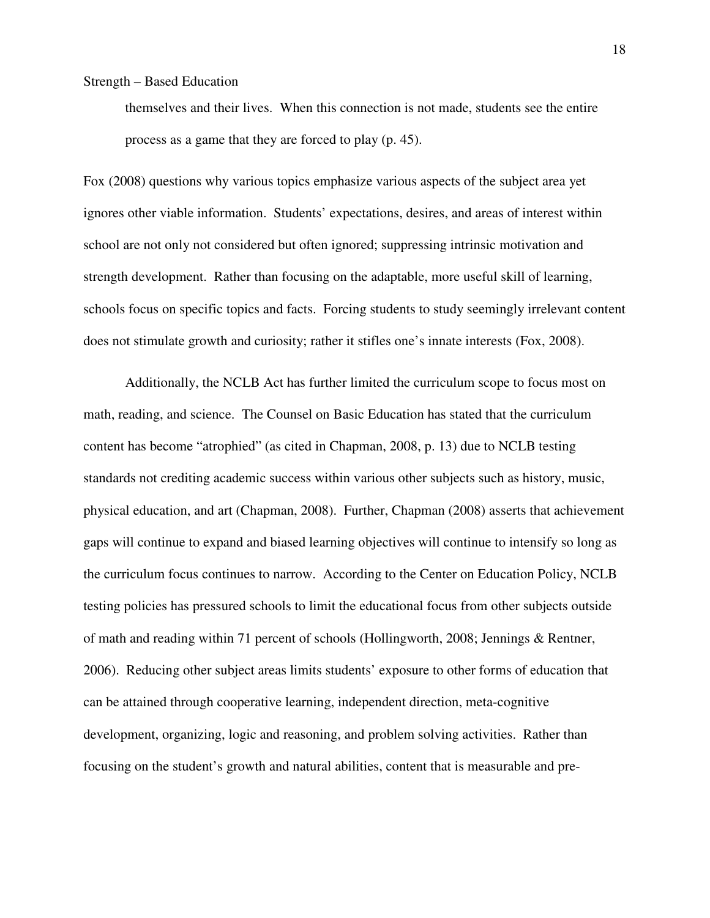themselves and their lives. When this connection is not made, students see the entire process as a game that they are forced to play (p. 45).

Fox (2008) questions why various topics emphasize various aspects of the subject area yet ignores other viable information. Students' expectations, desires, and areas of interest within school are not only not considered but often ignored; suppressing intrinsic motivation and strength development. Rather than focusing on the adaptable, more useful skill of learning, schools focus on specific topics and facts. Forcing students to study seemingly irrelevant content does not stimulate growth and curiosity; rather it stifles one's innate interests (Fox, 2008).

Additionally, the NCLB Act has further limited the curriculum scope to focus most on math, reading, and science. The Counsel on Basic Education has stated that the curriculum content has become "atrophied" (as cited in Chapman, 2008, p. 13) due to NCLB testing standards not crediting academic success within various other subjects such as history, music, physical education, and art (Chapman, 2008). Further, Chapman (2008) asserts that achievement gaps will continue to expand and biased learning objectives will continue to intensify so long as the curriculum focus continues to narrow. According to the Center on Education Policy, NCLB testing policies has pressured schools to limit the educational focus from other subjects outside of math and reading within 71 percent of schools (Hollingworth, 2008; Jennings & Rentner, 2006). Reducing other subject areas limits students' exposure to other forms of education that can be attained through cooperative learning, independent direction, meta-cognitive development, organizing, logic and reasoning, and problem solving activities. Rather than focusing on the student's growth and natural abilities, content that is measurable and pre-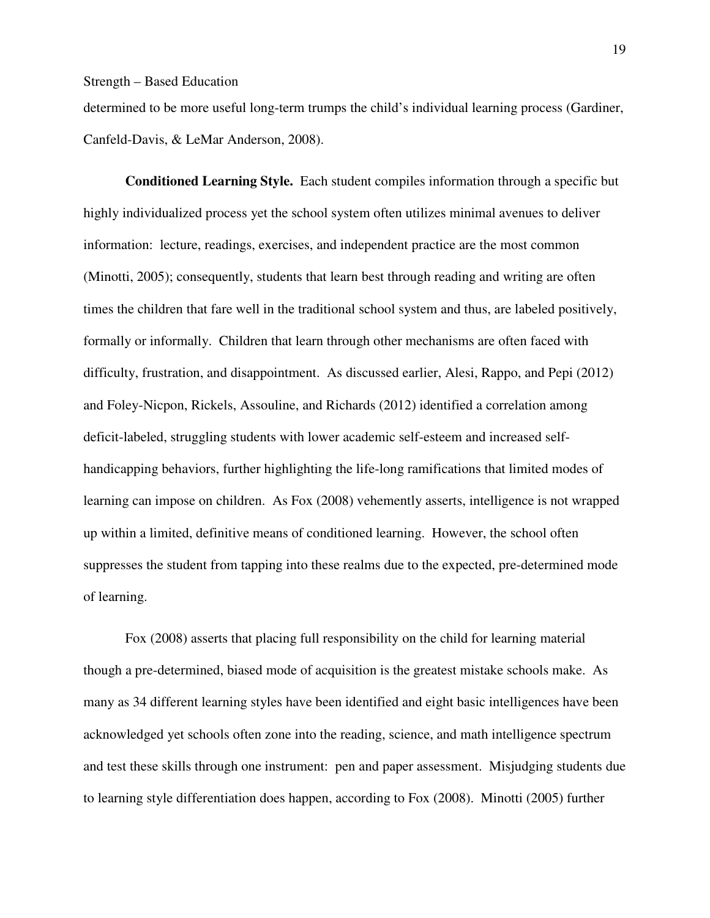determined to be more useful long-term trumps the child's individual learning process (Gardiner, Canfeld-Davis, & LeMar Anderson, 2008).

 **Conditioned Learning Style.** Each student compiles information through a specific but highly individualized process yet the school system often utilizes minimal avenues to deliver information: lecture, readings, exercises, and independent practice are the most common (Minotti, 2005); consequently, students that learn best through reading and writing are often times the children that fare well in the traditional school system and thus, are labeled positively, formally or informally. Children that learn through other mechanisms are often faced with difficulty, frustration, and disappointment. As discussed earlier, Alesi, Rappo, and Pepi (2012) and Foley-Nicpon, Rickels, Assouline, and Richards (2012) identified a correlation among deficit-labeled, struggling students with lower academic self-esteem and increased selfhandicapping behaviors, further highlighting the life-long ramifications that limited modes of learning can impose on children. As Fox (2008) vehemently asserts, intelligence is not wrapped up within a limited, definitive means of conditioned learning. However, the school often suppresses the student from tapping into these realms due to the expected, pre-determined mode of learning.

Fox (2008) asserts that placing full responsibility on the child for learning material though a pre-determined, biased mode of acquisition is the greatest mistake schools make. As many as 34 different learning styles have been identified and eight basic intelligences have been acknowledged yet schools often zone into the reading, science, and math intelligence spectrum and test these skills through one instrument: pen and paper assessment. Misjudging students due to learning style differentiation does happen, according to Fox (2008). Minotti (2005) further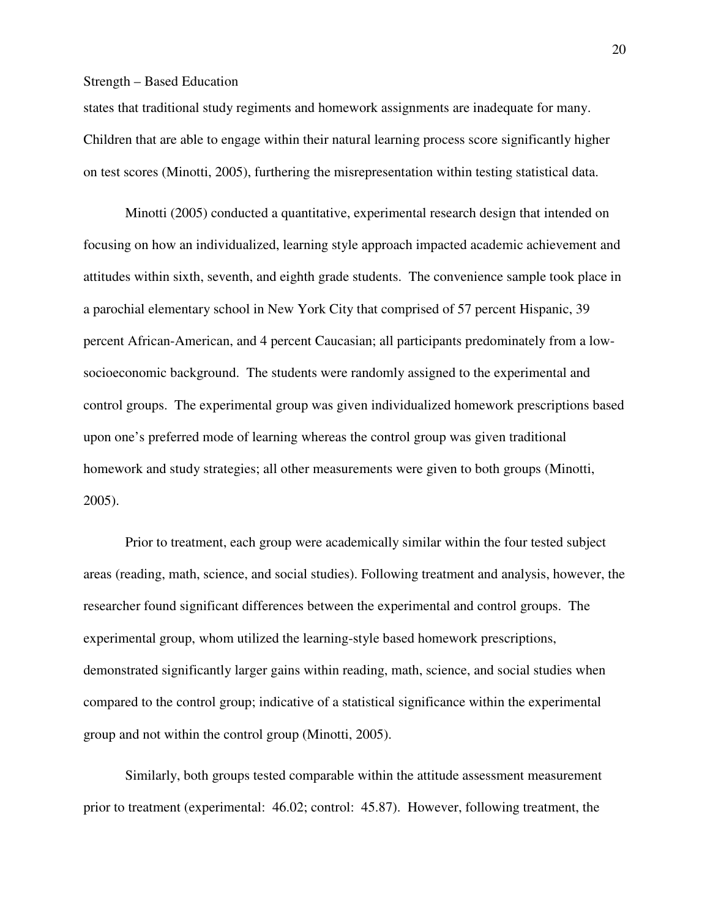states that traditional study regiments and homework assignments are inadequate for many. Children that are able to engage within their natural learning process score significantly higher on test scores (Minotti, 2005), furthering the misrepresentation within testing statistical data.

Minotti (2005) conducted a quantitative, experimental research design that intended on focusing on how an individualized, learning style approach impacted academic achievement and attitudes within sixth, seventh, and eighth grade students. The convenience sample took place in a parochial elementary school in New York City that comprised of 57 percent Hispanic, 39 percent African-American, and 4 percent Caucasian; all participants predominately from a lowsocioeconomic background. The students were randomly assigned to the experimental and control groups. The experimental group was given individualized homework prescriptions based upon one's preferred mode of learning whereas the control group was given traditional homework and study strategies; all other measurements were given to both groups (Minotti, 2005).

Prior to treatment, each group were academically similar within the four tested subject areas (reading, math, science, and social studies). Following treatment and analysis, however, the researcher found significant differences between the experimental and control groups. The experimental group, whom utilized the learning-style based homework prescriptions, demonstrated significantly larger gains within reading, math, science, and social studies when compared to the control group; indicative of a statistical significance within the experimental group and not within the control group (Minotti, 2005).

Similarly, both groups tested comparable within the attitude assessment measurement prior to treatment (experimental: 46.02; control: 45.87). However, following treatment, the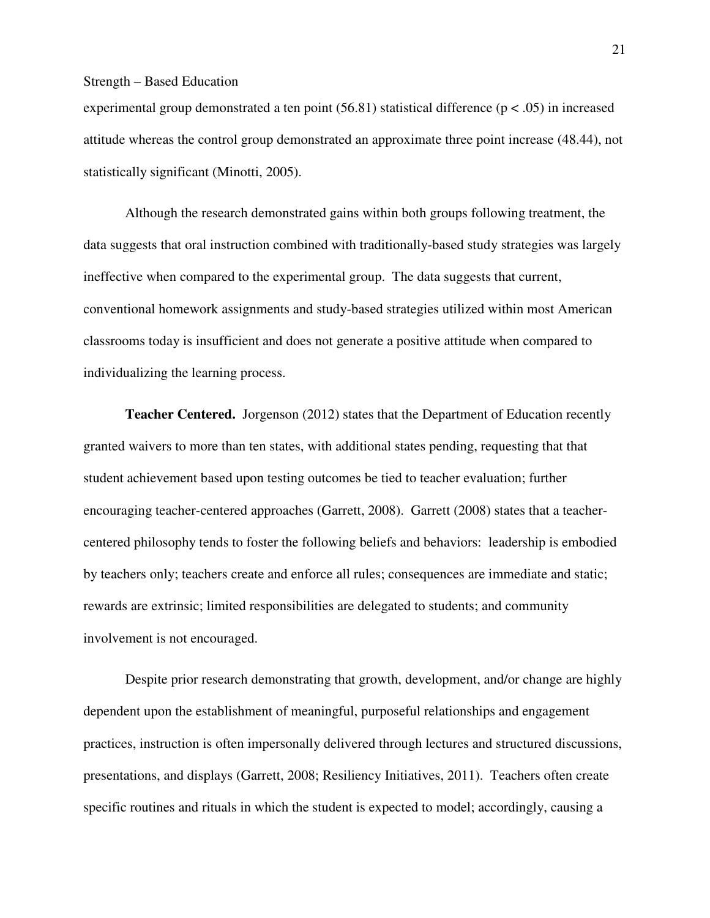experimental group demonstrated a ten point  $(56.81)$  statistical difference  $(p < .05)$  in increased attitude whereas the control group demonstrated an approximate three point increase (48.44), not statistically significant (Minotti, 2005).

Although the research demonstrated gains within both groups following treatment, the data suggests that oral instruction combined with traditionally-based study strategies was largely ineffective when compared to the experimental group. The data suggests that current, conventional homework assignments and study-based strategies utilized within most American classrooms today is insufficient and does not generate a positive attitude when compared to individualizing the learning process.

**Teacher Centered.** Jorgenson (2012) states that the Department of Education recently granted waivers to more than ten states, with additional states pending, requesting that that student achievement based upon testing outcomes be tied to teacher evaluation; further encouraging teacher-centered approaches (Garrett, 2008). Garrett (2008) states that a teachercentered philosophy tends to foster the following beliefs and behaviors: leadership is embodied by teachers only; teachers create and enforce all rules; consequences are immediate and static; rewards are extrinsic; limited responsibilities are delegated to students; and community involvement is not encouraged.

Despite prior research demonstrating that growth, development, and/or change are highly dependent upon the establishment of meaningful, purposeful relationships and engagement practices, instruction is often impersonally delivered through lectures and structured discussions, presentations, and displays (Garrett, 2008; Resiliency Initiatives, 2011). Teachers often create specific routines and rituals in which the student is expected to model; accordingly, causing a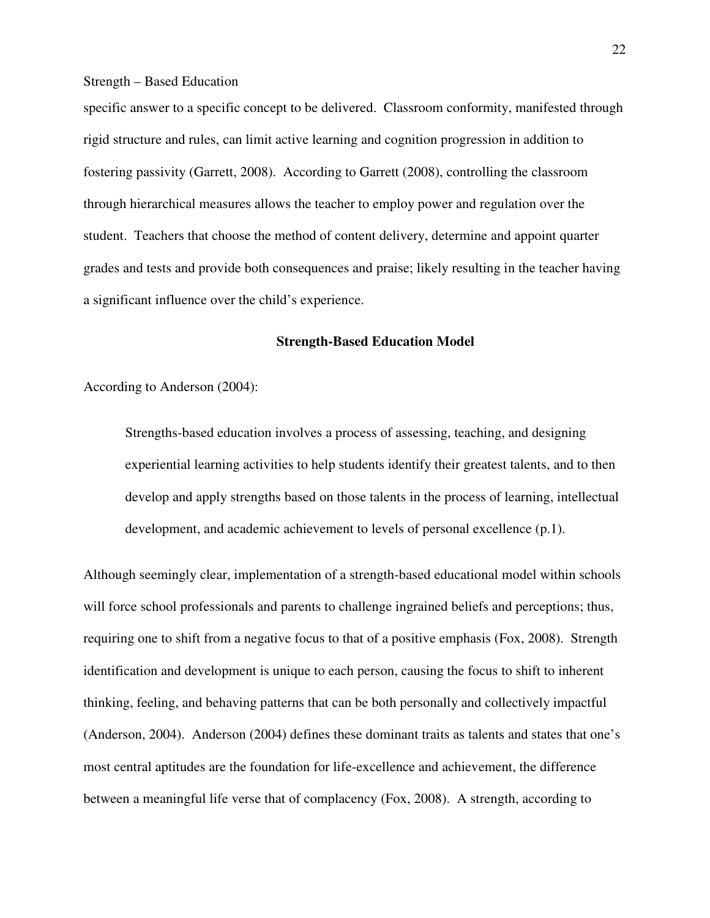specific answer to a specific concept to be delivered. Classroom conformity, manifested through rigid structure and rules, can limit active learning and cognition progression in addition to fostering passivity (Garrett, 2008). According to Garrett (2008), controlling the classroom through hierarchical measures allows the teacher to employ power and regulation over the student. Teachers that choose the method of content delivery, determine and appoint quarter grades and tests and provide both consequences and praise; likely resulting in the teacher having a significant influence over the child's experience.

#### **Strength-Based Education Model**

According to Anderson (2004):

Strengths-based education involves a process of assessing, teaching, and designing experiential learning activities to help students identify their greatest talents, and to then develop and apply strengths based on those talents in the process of learning, intellectual development, and academic achievement to levels of personal excellence (p.1).

Although seemingly clear, implementation of a strength-based educational model within schools will force school professionals and parents to challenge ingrained beliefs and perceptions; thus, requiring one to shift from a negative focus to that of a positive emphasis (Fox, 2008). Strength identification and development is unique to each person, causing the focus to shift to inherent thinking, feeling, and behaving patterns that can be both personally and collectively impactful (Anderson, 2004). Anderson (2004) defines these dominant traits as talents and states that one's most central aptitudes are the foundation for life-excellence and achievement, the difference between a meaningful life verse that of complacency (Fox, 2008). A strength, according to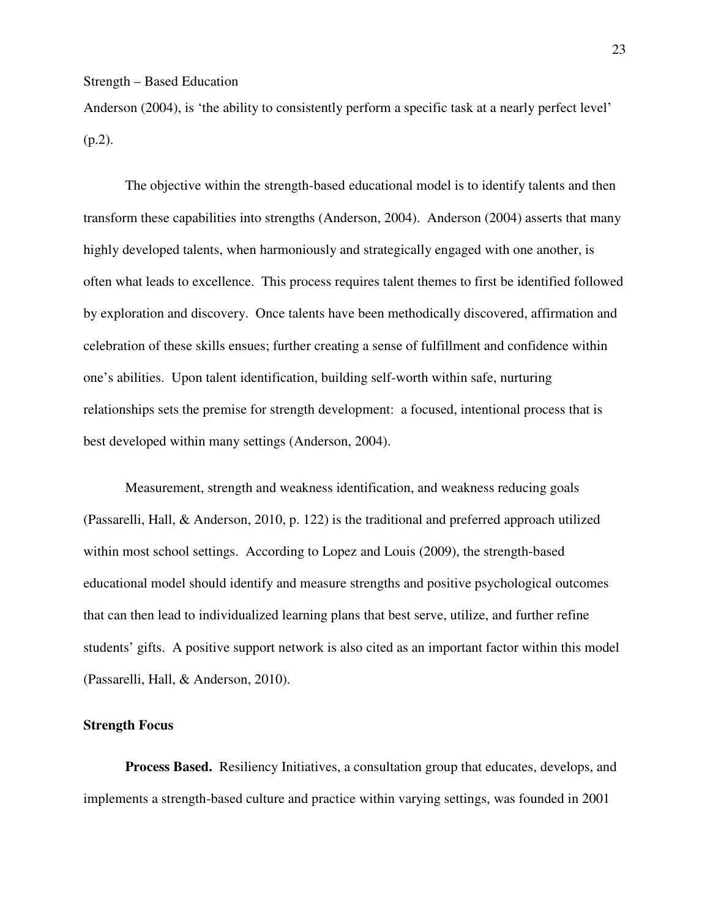Anderson (2004), is 'the ability to consistently perform a specific task at a nearly perfect level' (p.2).

 The objective within the strength-based educational model is to identify talents and then transform these capabilities into strengths (Anderson, 2004). Anderson (2004) asserts that many highly developed talents, when harmoniously and strategically engaged with one another, is often what leads to excellence. This process requires talent themes to first be identified followed by exploration and discovery. Once talents have been methodically discovered, affirmation and celebration of these skills ensues; further creating a sense of fulfillment and confidence within one's abilities. Upon talent identification, building self-worth within safe, nurturing relationships sets the premise for strength development: a focused, intentional process that is best developed within many settings (Anderson, 2004).

Measurement, strength and weakness identification, and weakness reducing goals (Passarelli, Hall, & Anderson, 2010, p. 122) is the traditional and preferred approach utilized within most school settings. According to Lopez and Louis (2009), the strength-based educational model should identify and measure strengths and positive psychological outcomes that can then lead to individualized learning plans that best serve, utilize, and further refine students' gifts. A positive support network is also cited as an important factor within this model (Passarelli, Hall, & Anderson, 2010).

#### **Strength Focus**

**Process Based.** Resiliency Initiatives, a consultation group that educates, develops, and implements a strength-based culture and practice within varying settings, was founded in 2001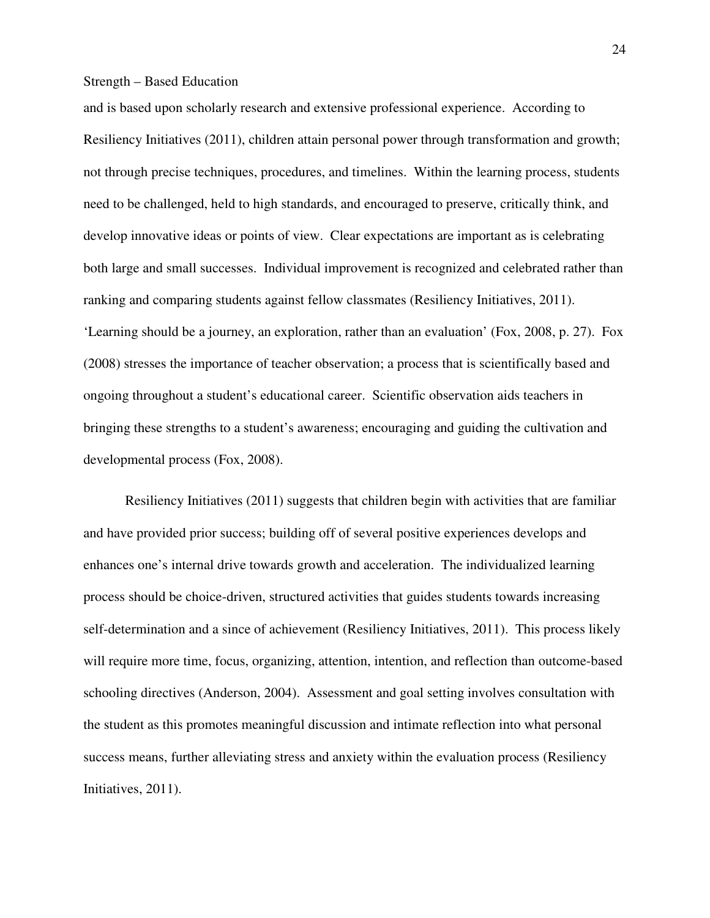and is based upon scholarly research and extensive professional experience. According to Resiliency Initiatives (2011), children attain personal power through transformation and growth; not through precise techniques, procedures, and timelines. Within the learning process, students need to be challenged, held to high standards, and encouraged to preserve, critically think, and develop innovative ideas or points of view. Clear expectations are important as is celebrating both large and small successes. Individual improvement is recognized and celebrated rather than ranking and comparing students against fellow classmates (Resiliency Initiatives, 2011). 'Learning should be a journey, an exploration, rather than an evaluation' (Fox, 2008, p. 27). Fox (2008) stresses the importance of teacher observation; a process that is scientifically based and ongoing throughout a student's educational career. Scientific observation aids teachers in bringing these strengths to a student's awareness; encouraging and guiding the cultivation and developmental process (Fox, 2008).

Resiliency Initiatives (2011) suggests that children begin with activities that are familiar and have provided prior success; building off of several positive experiences develops and enhances one's internal drive towards growth and acceleration. The individualized learning process should be choice-driven, structured activities that guides students towards increasing self-determination and a since of achievement (Resiliency Initiatives, 2011). This process likely will require more time, focus, organizing, attention, intention, and reflection than outcome-based schooling directives (Anderson, 2004). Assessment and goal setting involves consultation with the student as this promotes meaningful discussion and intimate reflection into what personal success means, further alleviating stress and anxiety within the evaluation process (Resiliency Initiatives, 2011).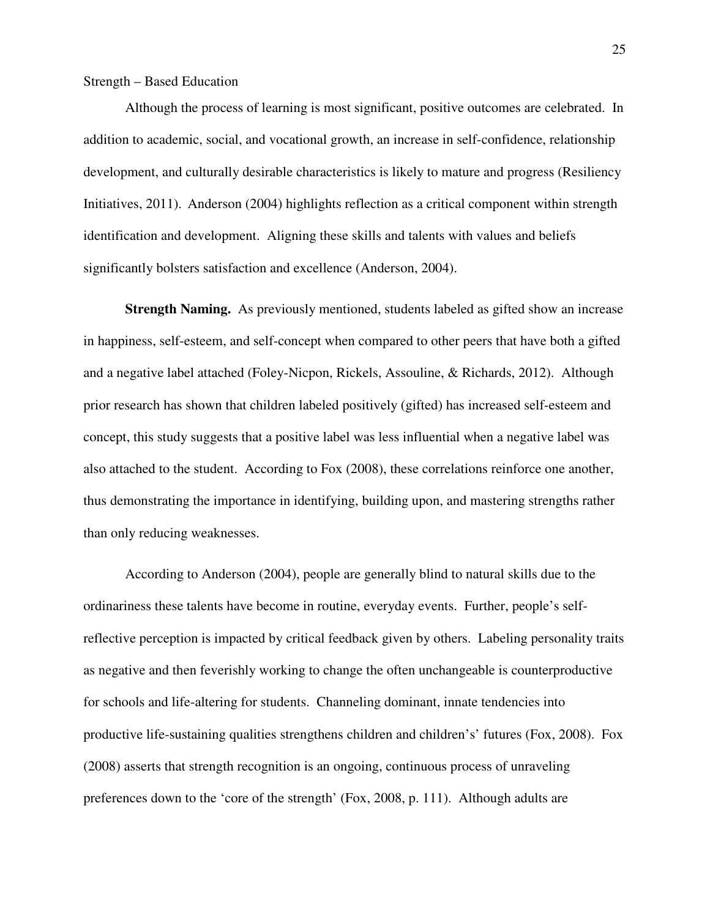Although the process of learning is most significant, positive outcomes are celebrated. In addition to academic, social, and vocational growth, an increase in self-confidence, relationship development, and culturally desirable characteristics is likely to mature and progress (Resiliency Initiatives, 2011). Anderson (2004) highlights reflection as a critical component within strength identification and development. Aligning these skills and talents with values and beliefs significantly bolsters satisfaction and excellence (Anderson, 2004).

**Strength Naming.** As previously mentioned, students labeled as gifted show an increase in happiness, self-esteem, and self-concept when compared to other peers that have both a gifted and a negative label attached (Foley-Nicpon, Rickels, Assouline, & Richards, 2012). Although prior research has shown that children labeled positively (gifted) has increased self-esteem and concept, this study suggests that a positive label was less influential when a negative label was also attached to the student. According to Fox (2008), these correlations reinforce one another, thus demonstrating the importance in identifying, building upon, and mastering strengths rather than only reducing weaknesses.

According to Anderson (2004), people are generally blind to natural skills due to the ordinariness these talents have become in routine, everyday events. Further, people's selfreflective perception is impacted by critical feedback given by others. Labeling personality traits as negative and then feverishly working to change the often unchangeable is counterproductive for schools and life-altering for students. Channeling dominant, innate tendencies into productive life-sustaining qualities strengthens children and children's' futures (Fox, 2008). Fox (2008) asserts that strength recognition is an ongoing, continuous process of unraveling preferences down to the 'core of the strength' (Fox, 2008, p. 111). Although adults are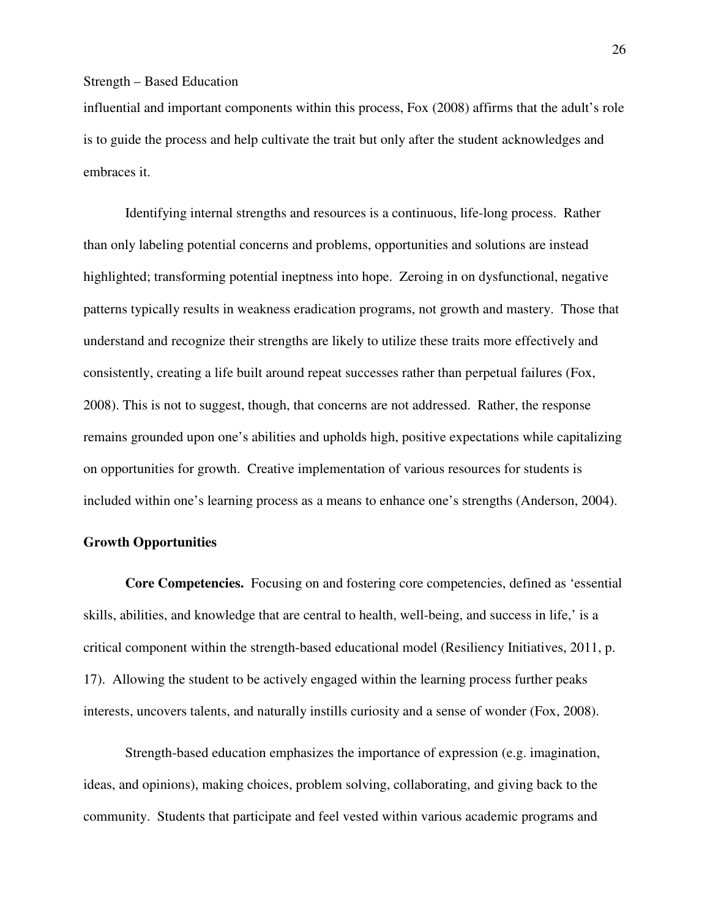influential and important components within this process, Fox (2008) affirms that the adult's role is to guide the process and help cultivate the trait but only after the student acknowledges and embraces it.

Identifying internal strengths and resources is a continuous, life-long process. Rather than only labeling potential concerns and problems, opportunities and solutions are instead highlighted; transforming potential ineptness into hope. Zeroing in on dysfunctional, negative patterns typically results in weakness eradication programs, not growth and mastery. Those that understand and recognize their strengths are likely to utilize these traits more effectively and consistently, creating a life built around repeat successes rather than perpetual failures (Fox, 2008). This is not to suggest, though, that concerns are not addressed. Rather, the response remains grounded upon one's abilities and upholds high, positive expectations while capitalizing on opportunities for growth. Creative implementation of various resources for students is included within one's learning process as a means to enhance one's strengths (Anderson, 2004).

#### **Growth Opportunities**

**Core Competencies.** Focusing on and fostering core competencies, defined as 'essential skills, abilities, and knowledge that are central to health, well-being, and success in life,' is a critical component within the strength-based educational model (Resiliency Initiatives, 2011, p. 17). Allowing the student to be actively engaged within the learning process further peaks interests, uncovers talents, and naturally instills curiosity and a sense of wonder (Fox, 2008).

Strength-based education emphasizes the importance of expression (e.g. imagination, ideas, and opinions), making choices, problem solving, collaborating, and giving back to the community. Students that participate and feel vested within various academic programs and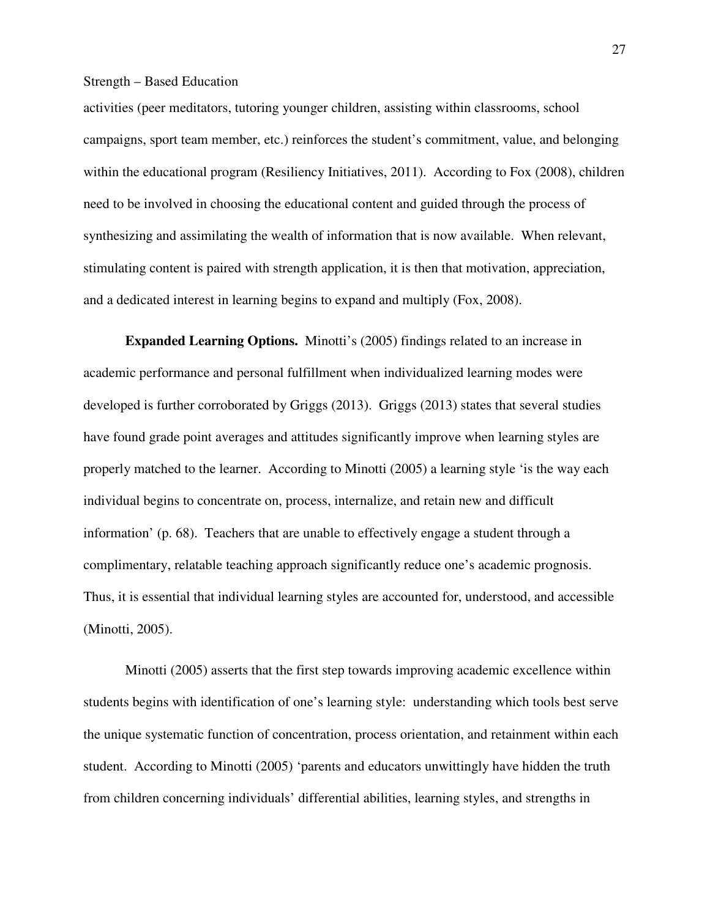activities (peer meditators, tutoring younger children, assisting within classrooms, school campaigns, sport team member, etc.) reinforces the student's commitment, value, and belonging within the educational program (Resiliency Initiatives, 2011). According to Fox (2008), children need to be involved in choosing the educational content and guided through the process of synthesizing and assimilating the wealth of information that is now available. When relevant, stimulating content is paired with strength application, it is then that motivation, appreciation, and a dedicated interest in learning begins to expand and multiply (Fox, 2008).

**Expanded Learning Options.** Minotti's (2005) findings related to an increase in academic performance and personal fulfillment when individualized learning modes were developed is further corroborated by Griggs (2013). Griggs (2013) states that several studies have found grade point averages and attitudes significantly improve when learning styles are properly matched to the learner. According to Minotti (2005) a learning style 'is the way each individual begins to concentrate on, process, internalize, and retain new and difficult information' (p. 68). Teachers that are unable to effectively engage a student through a complimentary, relatable teaching approach significantly reduce one's academic prognosis. Thus, it is essential that individual learning styles are accounted for, understood, and accessible (Minotti, 2005).

Minotti (2005) asserts that the first step towards improving academic excellence within students begins with identification of one's learning style: understanding which tools best serve the unique systematic function of concentration, process orientation, and retainment within each student. According to Minotti (2005) 'parents and educators unwittingly have hidden the truth from children concerning individuals' differential abilities, learning styles, and strengths in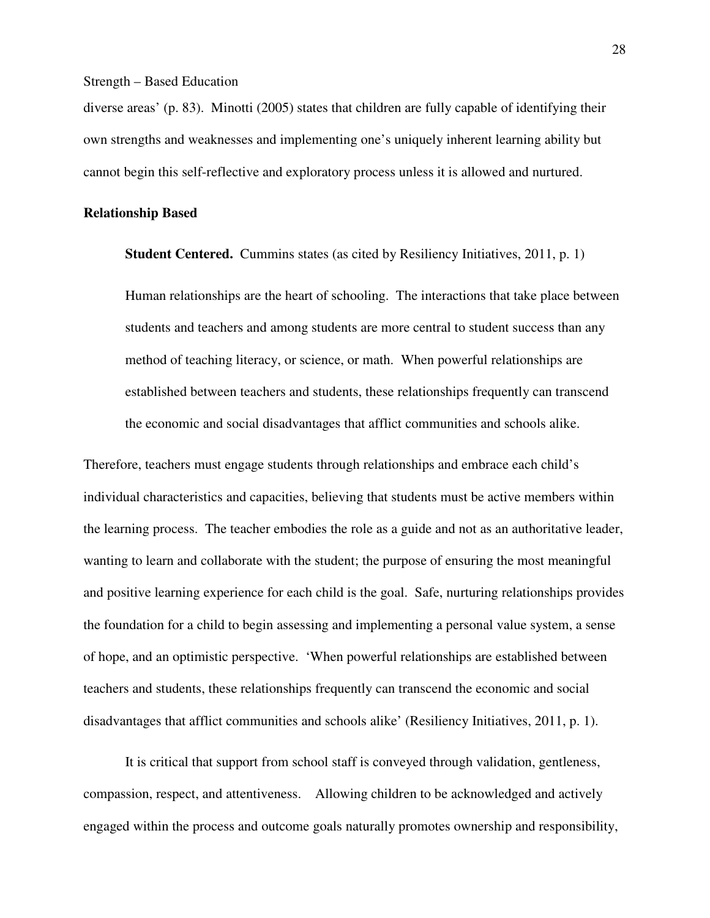diverse areas' (p. 83). Minotti (2005) states that children are fully capable of identifying their own strengths and weaknesses and implementing one's uniquely inherent learning ability but cannot begin this self-reflective and exploratory process unless it is allowed and nurtured.

#### **Relationship Based**

**Student Centered.** Cummins states (as cited by Resiliency Initiatives, 2011, p. 1)

Human relationships are the heart of schooling. The interactions that take place between students and teachers and among students are more central to student success than any method of teaching literacy, or science, or math. When powerful relationships are established between teachers and students, these relationships frequently can transcend the economic and social disadvantages that afflict communities and schools alike.

Therefore, teachers must engage students through relationships and embrace each child's individual characteristics and capacities, believing that students must be active members within the learning process. The teacher embodies the role as a guide and not as an authoritative leader, wanting to learn and collaborate with the student; the purpose of ensuring the most meaningful and positive learning experience for each child is the goal. Safe, nurturing relationships provides the foundation for a child to begin assessing and implementing a personal value system, a sense of hope, and an optimistic perspective. 'When powerful relationships are established between teachers and students, these relationships frequently can transcend the economic and social disadvantages that afflict communities and schools alike' (Resiliency Initiatives, 2011, p. 1).

It is critical that support from school staff is conveyed through validation, gentleness, compassion, respect, and attentiveness. Allowing children to be acknowledged and actively engaged within the process and outcome goals naturally promotes ownership and responsibility,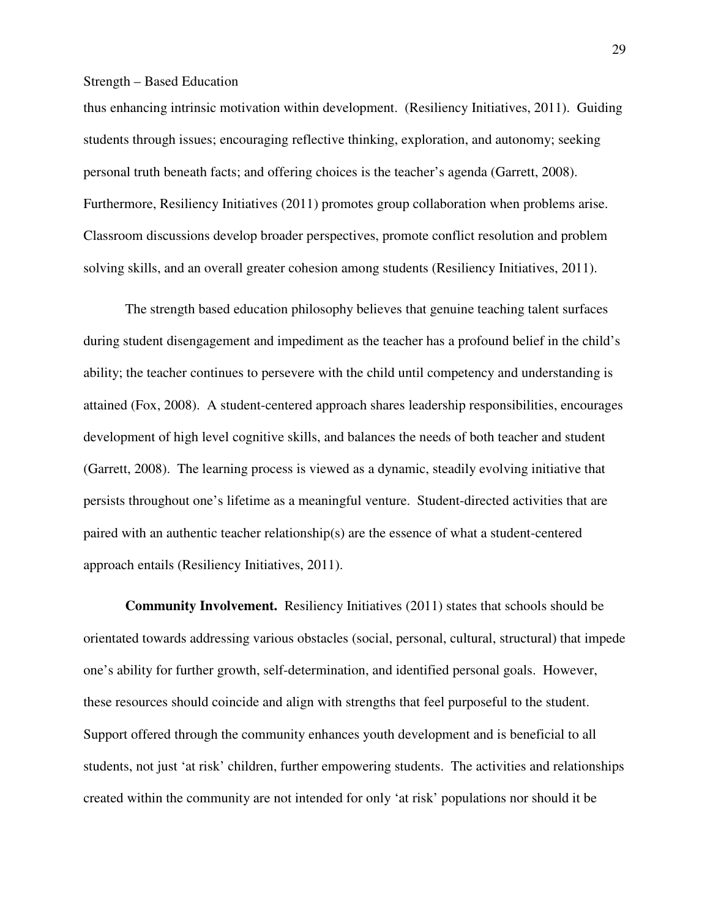thus enhancing intrinsic motivation within development. (Resiliency Initiatives, 2011). Guiding students through issues; encouraging reflective thinking, exploration, and autonomy; seeking personal truth beneath facts; and offering choices is the teacher's agenda (Garrett, 2008). Furthermore, Resiliency Initiatives (2011) promotes group collaboration when problems arise. Classroom discussions develop broader perspectives, promote conflict resolution and problem solving skills, and an overall greater cohesion among students (Resiliency Initiatives, 2011).

The strength based education philosophy believes that genuine teaching talent surfaces during student disengagement and impediment as the teacher has a profound belief in the child's ability; the teacher continues to persevere with the child until competency and understanding is attained (Fox, 2008). A student-centered approach shares leadership responsibilities, encourages development of high level cognitive skills, and balances the needs of both teacher and student (Garrett, 2008). The learning process is viewed as a dynamic, steadily evolving initiative that persists throughout one's lifetime as a meaningful venture. Student-directed activities that are paired with an authentic teacher relationship(s) are the essence of what a student-centered approach entails (Resiliency Initiatives, 2011).

**Community Involvement.** Resiliency Initiatives (2011) states that schools should be orientated towards addressing various obstacles (social, personal, cultural, structural) that impede one's ability for further growth, self-determination, and identified personal goals. However, these resources should coincide and align with strengths that feel purposeful to the student. Support offered through the community enhances youth development and is beneficial to all students, not just 'at risk' children, further empowering students. The activities and relationships created within the community are not intended for only 'at risk' populations nor should it be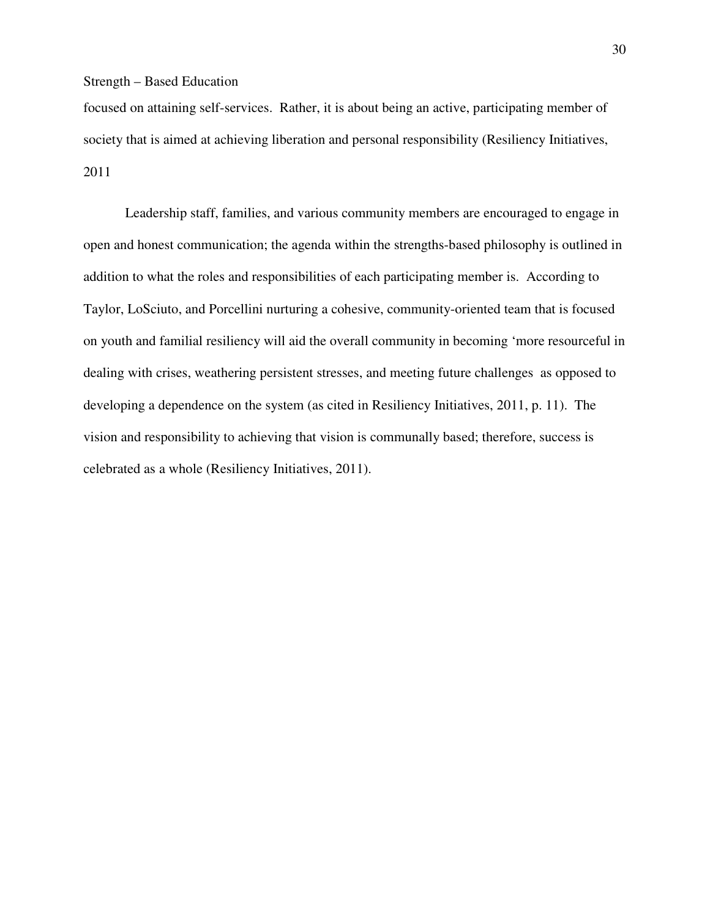focused on attaining self-services. Rather, it is about being an active, participating member of society that is aimed at achieving liberation and personal responsibility (Resiliency Initiatives, 2011

Leadership staff, families, and various community members are encouraged to engage in open and honest communication; the agenda within the strengths-based philosophy is outlined in addition to what the roles and responsibilities of each participating member is. According to Taylor, LoSciuto, and Porcellini nurturing a cohesive, community-oriented team that is focused on youth and familial resiliency will aid the overall community in becoming 'more resourceful in dealing with crises, weathering persistent stresses, and meeting future challenges as opposed to developing a dependence on the system (as cited in Resiliency Initiatives, 2011, p. 11). The vision and responsibility to achieving that vision is communally based; therefore, success is celebrated as a whole (Resiliency Initiatives, 2011).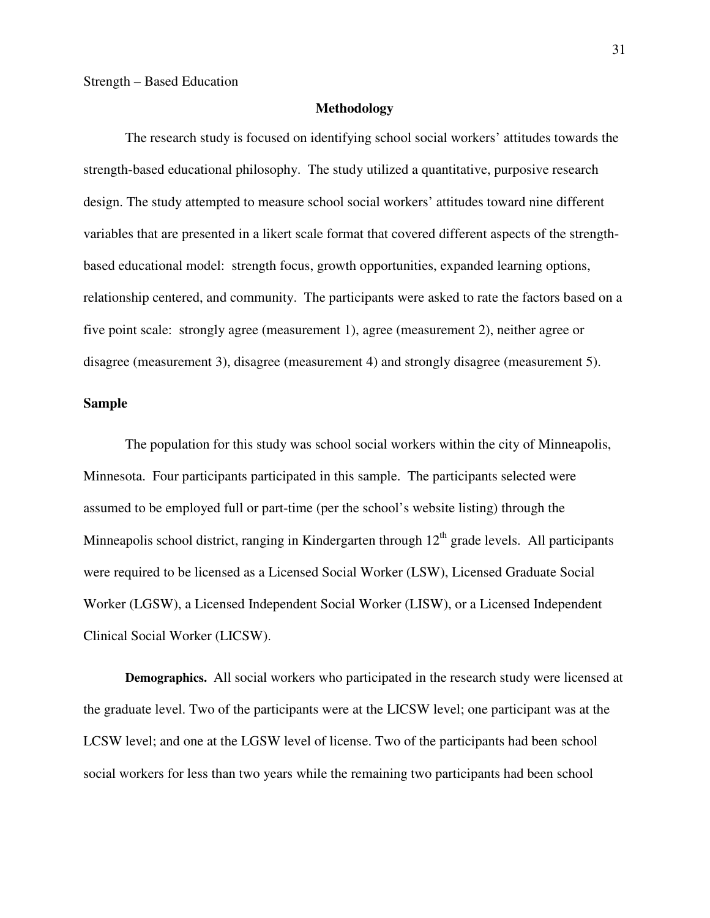#### **Methodology**

 The research study is focused on identifying school social workers' attitudes towards the strength-based educational philosophy. The study utilized a quantitative, purposive research design. The study attempted to measure school social workers' attitudes toward nine different variables that are presented in a likert scale format that covered different aspects of the strengthbased educational model: strength focus, growth opportunities, expanded learning options, relationship centered, and community. The participants were asked to rate the factors based on a five point scale: strongly agree (measurement 1), agree (measurement 2), neither agree or disagree (measurement 3), disagree (measurement 4) and strongly disagree (measurement 5).

#### **Sample**

 The population for this study was school social workers within the city of Minneapolis, Minnesota. Four participants participated in this sample. The participants selected were assumed to be employed full or part-time (per the school's website listing) through the Minneapolis school district, ranging in Kindergarten through  $12<sup>th</sup>$  grade levels. All participants were required to be licensed as a Licensed Social Worker (LSW), Licensed Graduate Social Worker (LGSW), a Licensed Independent Social Worker (LISW), or a Licensed Independent Clinical Social Worker (LICSW).

**Demographics.** All social workers who participated in the research study were licensed at the graduate level. Two of the participants were at the LICSW level; one participant was at the LCSW level; and one at the LGSW level of license. Two of the participants had been school social workers for less than two years while the remaining two participants had been school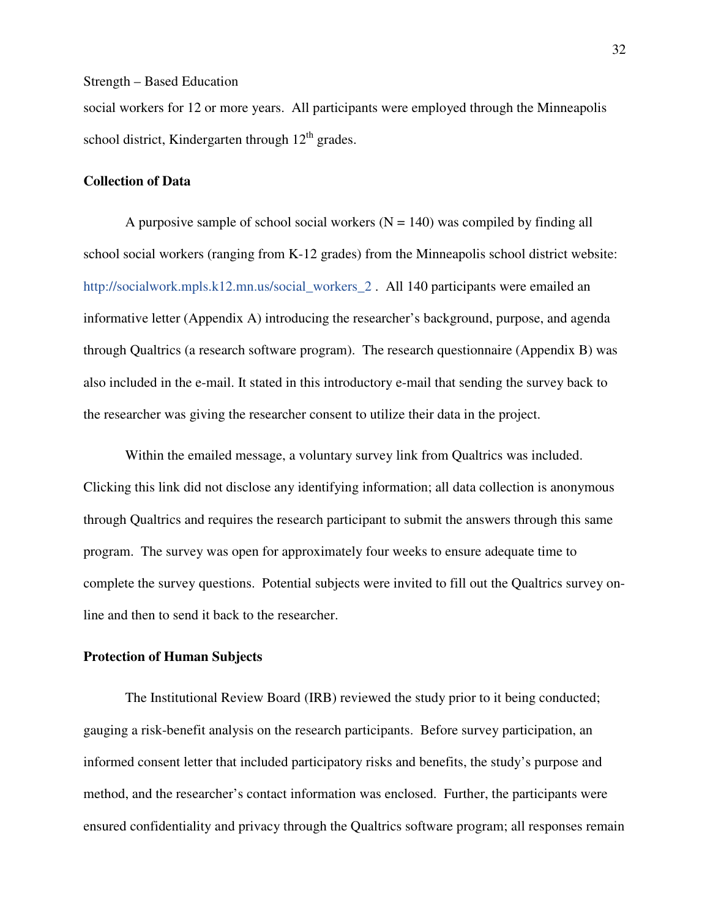social workers for 12 or more years. All participants were employed through the Minneapolis school district, Kindergarten through  $12<sup>th</sup>$  grades.

#### **Collection of Data**

A purposive sample of school social workers  $(N = 140)$  was compiled by finding all school social workers (ranging from K-12 grades) from the Minneapolis school district website: http://socialwork.mpls.k12.mn.us/social\_workers\_2 . All 140 participants were emailed an informative letter (Appendix A) introducing the researcher's background, purpose, and agenda through Qualtrics (a research software program). The research questionnaire (Appendix B) was also included in the e-mail. It stated in this introductory e-mail that sending the survey back to the researcher was giving the researcher consent to utilize their data in the project.

Within the emailed message, a voluntary survey link from Qualtrics was included. Clicking this link did not disclose any identifying information; all data collection is anonymous through Qualtrics and requires the research participant to submit the answers through this same program. The survey was open for approximately four weeks to ensure adequate time to complete the survey questions. Potential subjects were invited to fill out the Qualtrics survey online and then to send it back to the researcher.

#### **Protection of Human Subjects**

The Institutional Review Board (IRB) reviewed the study prior to it being conducted; gauging a risk-benefit analysis on the research participants. Before survey participation, an informed consent letter that included participatory risks and benefits, the study's purpose and method, and the researcher's contact information was enclosed. Further, the participants were ensured confidentiality and privacy through the Qualtrics software program; all responses remain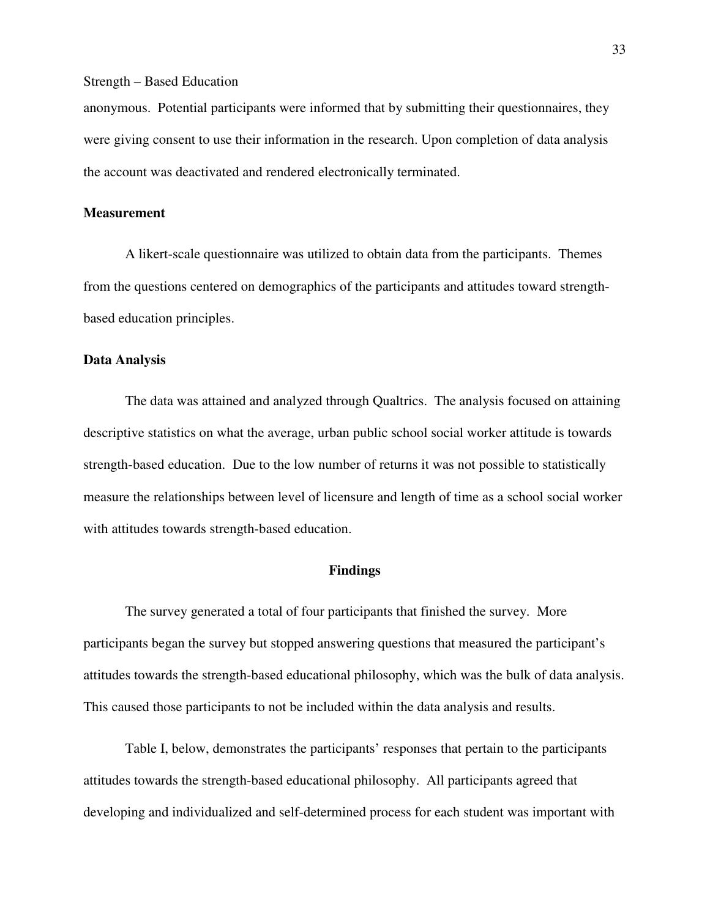anonymous. Potential participants were informed that by submitting their questionnaires, they were giving consent to use their information in the research. Upon completion of data analysis the account was deactivated and rendered electronically terminated.

#### **Measurement**

A likert-scale questionnaire was utilized to obtain data from the participants. Themes from the questions centered on demographics of the participants and attitudes toward strengthbased education principles.

#### **Data Analysis**

The data was attained and analyzed through Qualtrics. The analysis focused on attaining descriptive statistics on what the average, urban public school social worker attitude is towards strength-based education. Due to the low number of returns it was not possible to statistically measure the relationships between level of licensure and length of time as a school social worker with attitudes towards strength-based education.

#### **Findings**

The survey generated a total of four participants that finished the survey. More participants began the survey but stopped answering questions that measured the participant's attitudes towards the strength-based educational philosophy, which was the bulk of data analysis. This caused those participants to not be included within the data analysis and results.

Table I, below, demonstrates the participants' responses that pertain to the participants attitudes towards the strength-based educational philosophy. All participants agreed that developing and individualized and self-determined process for each student was important with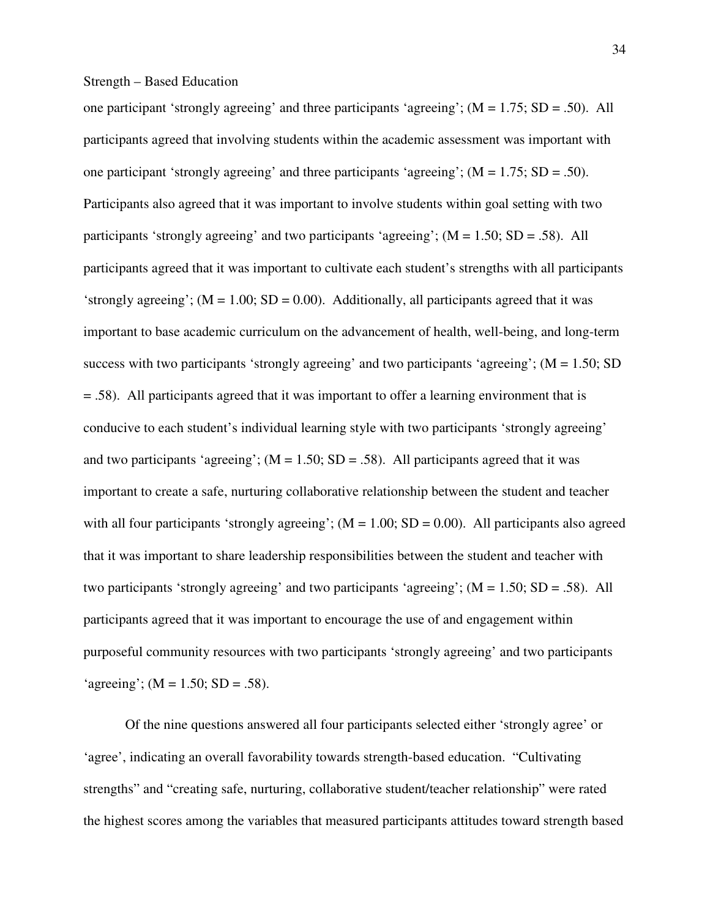one participant 'strongly agreeing' and three participants 'agreeing'; (M = 1.75; SD = .50). All participants agreed that involving students within the academic assessment was important with one participant 'strongly agreeing' and three participants 'agreeing';  $(M = 1.75; SD = .50)$ . Participants also agreed that it was important to involve students within goal setting with two participants 'strongly agreeing' and two participants 'agreeing';  $(M = 1.50; SD = .58)$ . All participants agreed that it was important to cultivate each student's strengths with all participants 'strongly agreeing'; ( $M = 1.00$ ;  $SD = 0.00$ ). Additionally, all participants agreed that it was important to base academic curriculum on the advancement of health, well-being, and long-term success with two participants 'strongly agreeing' and two participants 'agreeing';  $(M = 1.50; SD)$ = .58). All participants agreed that it was important to offer a learning environment that is conducive to each student's individual learning style with two participants 'strongly agreeing' and two participants 'agreeing';  $(M = 1.50; SD = .58)$ . All participants agreed that it was important to create a safe, nurturing collaborative relationship between the student and teacher with all four participants 'strongly agreeing';  $(M = 1.00; SD = 0.00)$ . All participants also agreed that it was important to share leadership responsibilities between the student and teacher with two participants 'strongly agreeing' and two participants 'agreeing';  $(M = 1.50; SD = .58)$ . All participants agreed that it was important to encourage the use of and engagement within purposeful community resources with two participants 'strongly agreeing' and two participants 'agreeing'; ( $M = 1.50$ ; SD = .58).

Of the nine questions answered all four participants selected either 'strongly agree' or 'agree', indicating an overall favorability towards strength-based education. "Cultivating strengths" and "creating safe, nurturing, collaborative student/teacher relationship" were rated the highest scores among the variables that measured participants attitudes toward strength based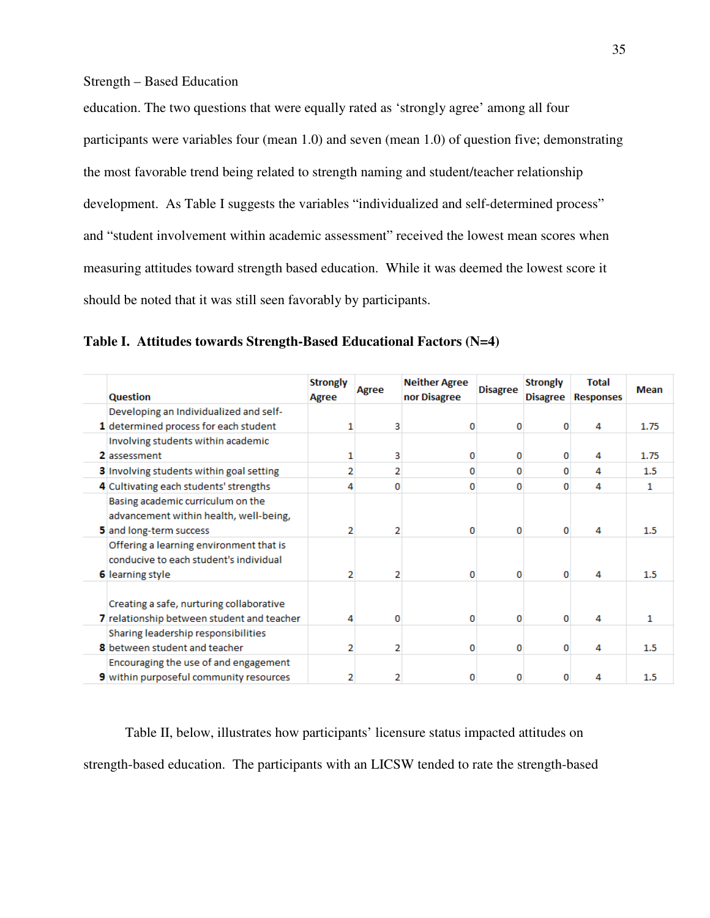education. The two questions that were equally rated as 'strongly agree' among all four participants were variables four (mean 1.0) and seven (mean 1.0) of question five; demonstrating the most favorable trend being related to strength naming and student/teacher relationship development. As Table I suggests the variables "individualized and self-determined process" and "student involvement within academic assessment" received the lowest mean scores when measuring attitudes toward strength based education. While it was deemed the lowest score it should be noted that it was still seen favorably by participants.

**Table I. Attitudes towards Strength-Based Educational Factors (N=4)** 

| <b>Question</b>                                                                                              | <b>Strongly</b><br>Agree | Agree | <b>Neither Agree</b><br>nor Disagree | <b>Disagree</b> | <b>Strongly</b><br><b>Disagree</b> | <b>Total</b><br><b>Responses</b> | Mean    |
|--------------------------------------------------------------------------------------------------------------|--------------------------|-------|--------------------------------------|-----------------|------------------------------------|----------------------------------|---------|
| Developing an Individualized and self-                                                                       |                          |       |                                      |                 |                                    |                                  |         |
| 1 determined process for each student                                                                        |                          |       | n                                    | o               | n                                  | Δ                                | 1.75    |
| Involving students within academic                                                                           |                          |       |                                      |                 |                                    |                                  |         |
| 2 assessment                                                                                                 |                          | з     | 0                                    | 0               | o                                  | 4                                | 1.75    |
| 3 Involving students within goal setting                                                                     |                          | 2     | 0                                    | 0               | 0                                  | 4                                | 1.5     |
| 4 Cultivating each students' strengths                                                                       |                          |       | n                                    | o               | n                                  | 4                                | 1       |
| Basing academic curriculum on the<br>advancement within health, well-being,<br>5 and long-term success       |                          |       | 0                                    | 0               | 0                                  | 4                                | 1.5     |
| Offering a learning environment that is<br>conducive to each student's individual<br><b>6</b> learning style |                          |       | 0                                    | o               | $\Omega$                           | 4                                | 1.5     |
| Creating a safe, nurturing collaborative<br>7 relationship between student and teacher                       |                          | n     | o                                    | 0               | 0                                  | 4                                | 1       |
| Sharing leadership responsibilities<br><b>8</b> between student and teacher                                  |                          |       | 0                                    | o               | 0                                  | 4                                | 1.5     |
| Encouraging the use of and engagement<br>9 within purposeful community resources                             |                          |       | n                                    | n               |                                    |                                  | $1.5\,$ |

Table II, below, illustrates how participants' licensure status impacted attitudes on strength-based education. The participants with an LICSW tended to rate the strength-based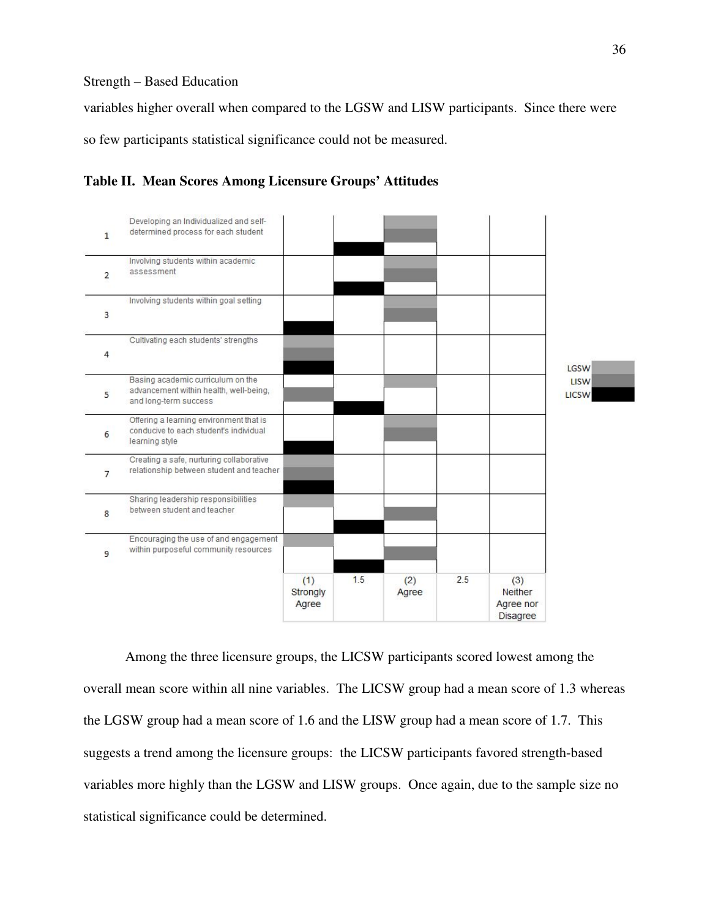variables higher overall when compared to the LGSW and LISW participants. Since there were so few participants statistical significance could not be measured.





Among the three licensure groups, the LICSW participants scored lowest among the overall mean score within all nine variables. The LICSW group had a mean score of 1.3 whereas the LGSW group had a mean score of 1.6 and the LISW group had a mean score of 1.7. This suggests a trend among the licensure groups: the LICSW participants favored strength-based variables more highly than the LGSW and LISW groups. Once again, due to the sample size no statistical significance could be determined.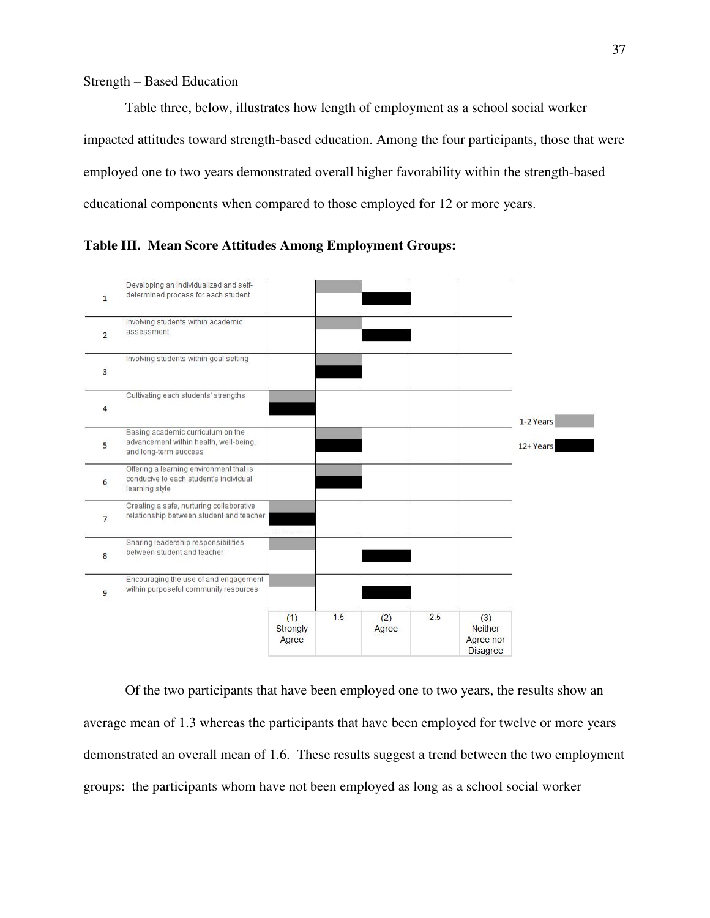Table three, below, illustrates how length of employment as a school social worker impacted attitudes toward strength-based education. Among the four participants, those that were employed one to two years demonstrated overall higher favorability within the strength-based educational components when compared to those employed for 12 or more years.



**Table III. Mean Score Attitudes Among Employment Groups:** 

Of the two participants that have been employed one to two years, the results show an average mean of 1.3 whereas the participants that have been employed for twelve or more years demonstrated an overall mean of 1.6. These results suggest a trend between the two employment groups: the participants whom have not been employed as long as a school social worker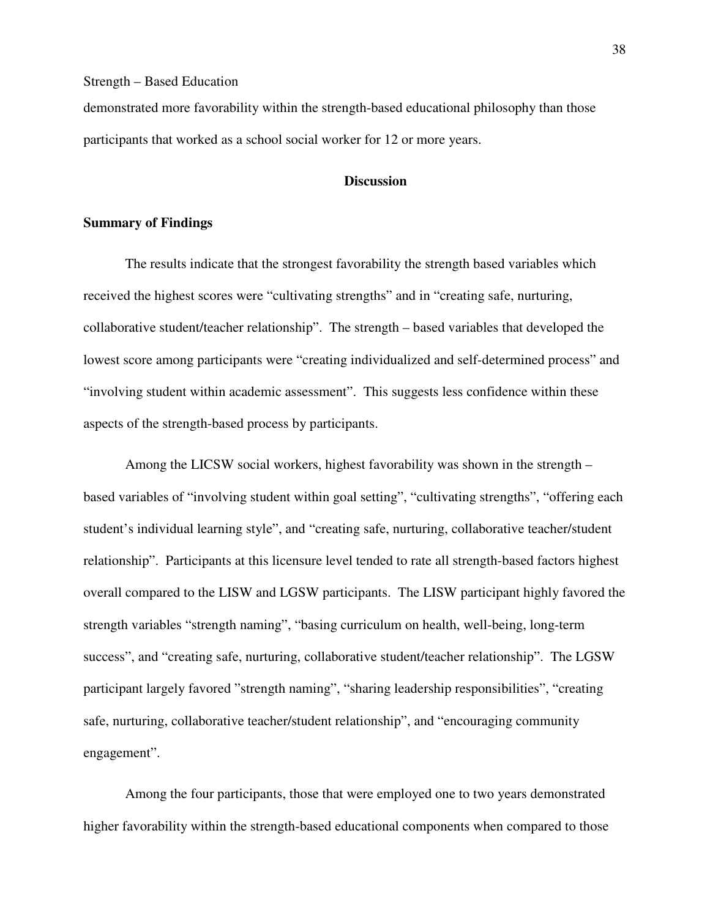demonstrated more favorability within the strength-based educational philosophy than those participants that worked as a school social worker for 12 or more years.

#### **Discussion**

#### **Summary of Findings**

The results indicate that the strongest favorability the strength based variables which received the highest scores were "cultivating strengths" and in "creating safe, nurturing, collaborative student/teacher relationship". The strength – based variables that developed the lowest score among participants were "creating individualized and self-determined process" and "involving student within academic assessment". This suggests less confidence within these aspects of the strength-based process by participants.

Among the LICSW social workers, highest favorability was shown in the strength – based variables of "involving student within goal setting", "cultivating strengths", "offering each student's individual learning style", and "creating safe, nurturing, collaborative teacher/student relationship". Participants at this licensure level tended to rate all strength-based factors highest overall compared to the LISW and LGSW participants. The LISW participant highly favored the strength variables "strength naming", "basing curriculum on health, well-being, long-term success", and "creating safe, nurturing, collaborative student/teacher relationship". The LGSW participant largely favored "strength naming", "sharing leadership responsibilities", "creating safe, nurturing, collaborative teacher/student relationship", and "encouraging community engagement".

Among the four participants, those that were employed one to two years demonstrated higher favorability within the strength-based educational components when compared to those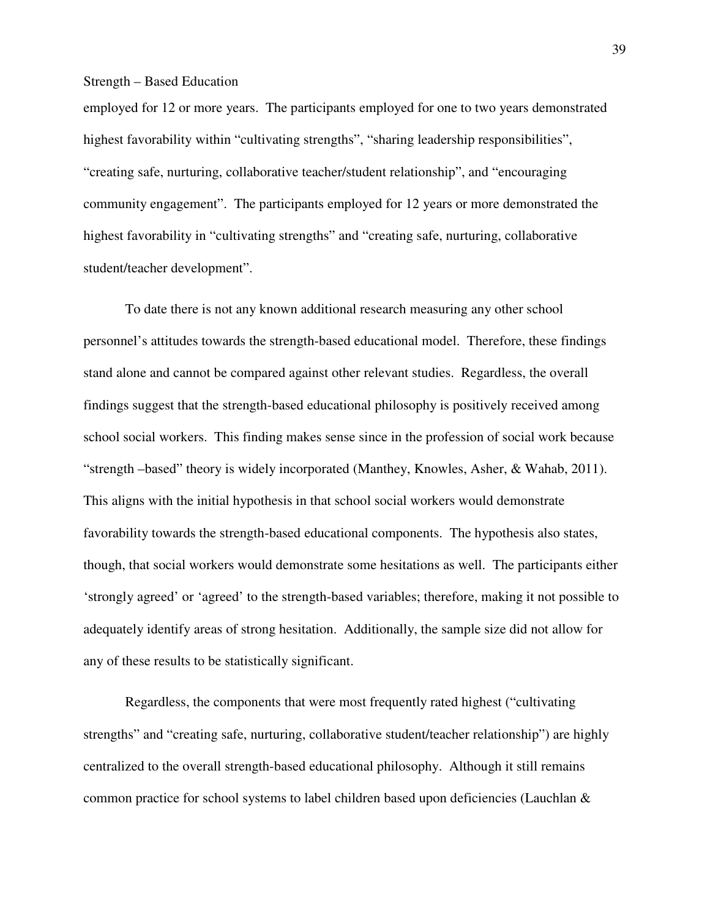employed for 12 or more years. The participants employed for one to two years demonstrated highest favorability within "cultivating strengths", "sharing leadership responsibilities", "creating safe, nurturing, collaborative teacher/student relationship", and "encouraging community engagement". The participants employed for 12 years or more demonstrated the highest favorability in "cultivating strengths" and "creating safe, nurturing, collaborative student/teacher development".

To date there is not any known additional research measuring any other school personnel's attitudes towards the strength-based educational model. Therefore, these findings stand alone and cannot be compared against other relevant studies. Regardless, the overall findings suggest that the strength-based educational philosophy is positively received among school social workers. This finding makes sense since in the profession of social work because "strength –based" theory is widely incorporated (Manthey, Knowles, Asher, & Wahab, 2011). This aligns with the initial hypothesis in that school social workers would demonstrate favorability towards the strength-based educational components. The hypothesis also states, though, that social workers would demonstrate some hesitations as well. The participants either 'strongly agreed' or 'agreed' to the strength-based variables; therefore, making it not possible to adequately identify areas of strong hesitation. Additionally, the sample size did not allow for any of these results to be statistically significant.

Regardless, the components that were most frequently rated highest ("cultivating strengths" and "creating safe, nurturing, collaborative student/teacher relationship") are highly centralized to the overall strength-based educational philosophy. Although it still remains common practice for school systems to label children based upon deficiencies (Lauchlan &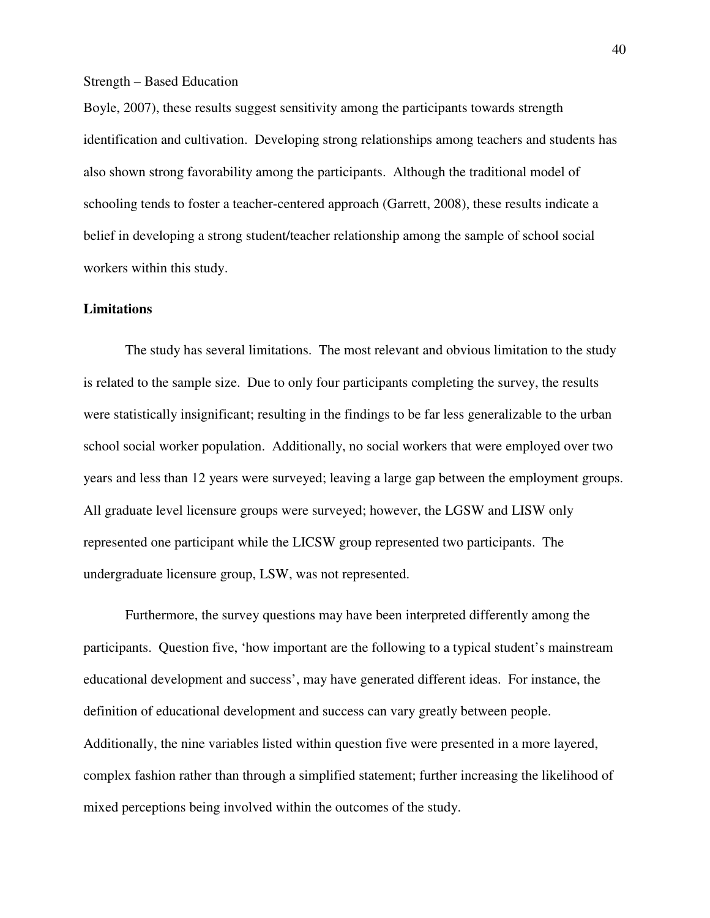Boyle, 2007), these results suggest sensitivity among the participants towards strength identification and cultivation. Developing strong relationships among teachers and students has also shown strong favorability among the participants. Although the traditional model of schooling tends to foster a teacher-centered approach (Garrett, 2008), these results indicate a belief in developing a strong student/teacher relationship among the sample of school social workers within this study.

#### **Limitations**

 The study has several limitations. The most relevant and obvious limitation to the study is related to the sample size. Due to only four participants completing the survey, the results were statistically insignificant; resulting in the findings to be far less generalizable to the urban school social worker population. Additionally, no social workers that were employed over two years and less than 12 years were surveyed; leaving a large gap between the employment groups. All graduate level licensure groups were surveyed; however, the LGSW and LISW only represented one participant while the LICSW group represented two participants. The undergraduate licensure group, LSW, was not represented.

Furthermore, the survey questions may have been interpreted differently among the participants. Question five, 'how important are the following to a typical student's mainstream educational development and success', may have generated different ideas. For instance, the definition of educational development and success can vary greatly between people. Additionally, the nine variables listed within question five were presented in a more layered, complex fashion rather than through a simplified statement; further increasing the likelihood of mixed perceptions being involved within the outcomes of the study.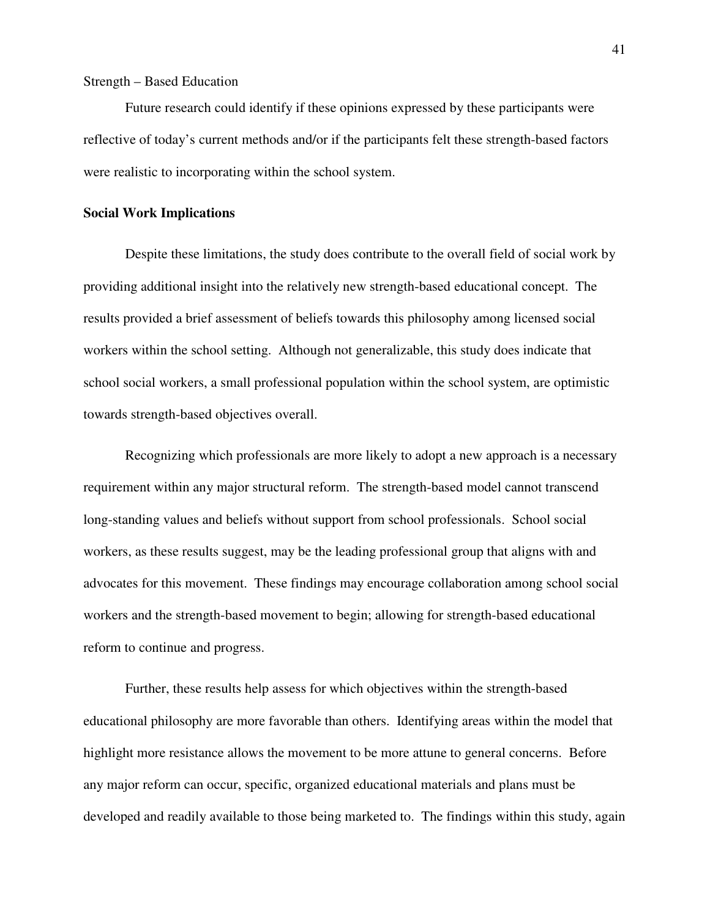Future research could identify if these opinions expressed by these participants were reflective of today's current methods and/or if the participants felt these strength-based factors were realistic to incorporating within the school system.

#### **Social Work Implications**

 Despite these limitations, the study does contribute to the overall field of social work by providing additional insight into the relatively new strength-based educational concept. The results provided a brief assessment of beliefs towards this philosophy among licensed social workers within the school setting. Although not generalizable, this study does indicate that school social workers, a small professional population within the school system, are optimistic towards strength-based objectives overall.

Recognizing which professionals are more likely to adopt a new approach is a necessary requirement within any major structural reform. The strength-based model cannot transcend long-standing values and beliefs without support from school professionals. School social workers, as these results suggest, may be the leading professional group that aligns with and advocates for this movement. These findings may encourage collaboration among school social workers and the strength-based movement to begin; allowing for strength-based educational reform to continue and progress.

Further, these results help assess for which objectives within the strength-based educational philosophy are more favorable than others. Identifying areas within the model that highlight more resistance allows the movement to be more attune to general concerns. Before any major reform can occur, specific, organized educational materials and plans must be developed and readily available to those being marketed to. The findings within this study, again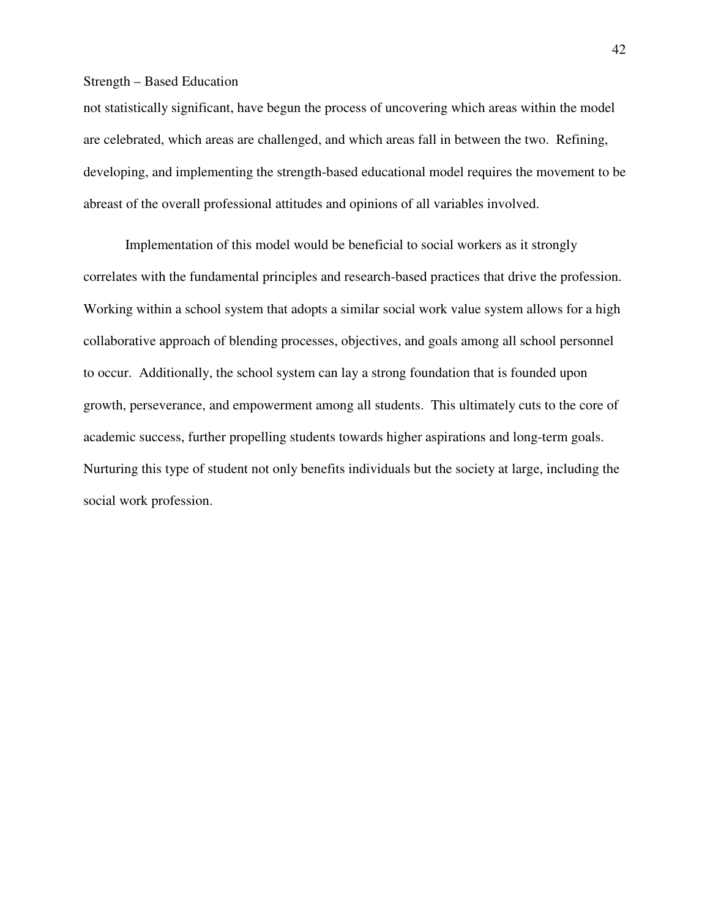not statistically significant, have begun the process of uncovering which areas within the model are celebrated, which areas are challenged, and which areas fall in between the two. Refining, developing, and implementing the strength-based educational model requires the movement to be abreast of the overall professional attitudes and opinions of all variables involved.

Implementation of this model would be beneficial to social workers as it strongly correlates with the fundamental principles and research-based practices that drive the profession. Working within a school system that adopts a similar social work value system allows for a high collaborative approach of blending processes, objectives, and goals among all school personnel to occur. Additionally, the school system can lay a strong foundation that is founded upon growth, perseverance, and empowerment among all students. This ultimately cuts to the core of academic success, further propelling students towards higher aspirations and long-term goals. Nurturing this type of student not only benefits individuals but the society at large, including the social work profession.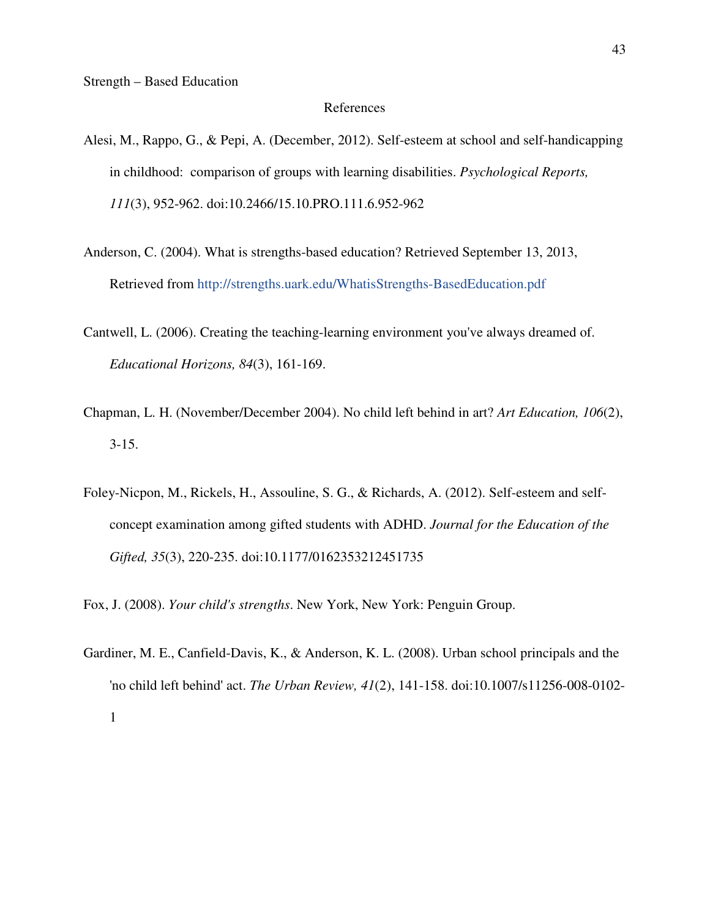#### References

- Alesi, M., Rappo, G., & Pepi, A. (December, 2012). Self-esteem at school and self-handicapping in childhood: comparison of groups with learning disabilities. *Psychological Reports, 111*(3), 952-962. doi:10.2466/15.10.PRO.111.6.952-962
- Anderson, C. (2004). What is strengths-based education? Retrieved September 13, 2013, Retrieved from http://strengths.uark.edu/WhatisStrengths-BasedEducation.pdf
- Cantwell, L. (2006). Creating the teaching-learning environment you've always dreamed of. *Educational Horizons, 84*(3), 161-169.
- Chapman, L. H. (November/December 2004). No child left behind in art? *Art Education, 106*(2), 3-15.
- Foley-Nicpon, M., Rickels, H., Assouline, S. G., & Richards, A. (2012). Self-esteem and selfconcept examination among gifted students with ADHD. *Journal for the Education of the Gifted, 35*(3), 220-235. doi:10.1177/0162353212451735
- Fox, J. (2008). *Your child's strengths*. New York, New York: Penguin Group.
- Gardiner, M. E., Canfield-Davis, K., & Anderson, K. L. (2008). Urban school principals and the 'no child left behind' act. *The Urban Review, 41*(2), 141-158. doi:10.1007/s11256-008-0102- 1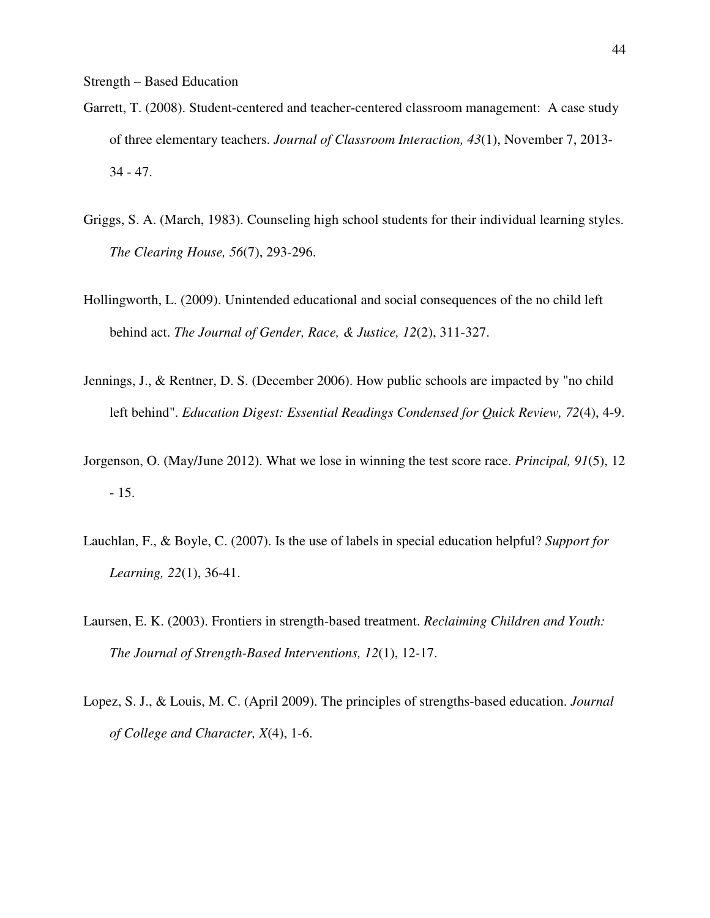- Garrett, T. (2008). Student-centered and teacher-centered classroom management: A case study of three elementary teachers. *Journal of Classroom Interaction, 43*(1), November 7, 2013- 34 - 47.
- Griggs, S. A. (March, 1983). Counseling high school students for their individual learning styles. *The Clearing House, 56*(7), 293-296.
- Hollingworth, L. (2009). Unintended educational and social consequences of the no child left behind act. *The Journal of Gender, Race, & Justice, 12*(2), 311-327.
- Jennings, J., & Rentner, D. S. (December 2006). How public schools are impacted by "no child left behind". *Education Digest: Essential Readings Condensed for Quick Review, 72*(4), 4-9.
- Jorgenson, O. (May/June 2012). What we lose in winning the test score race. *Principal, 91*(5), 12 - 15.
- Lauchlan, F., & Boyle, C. (2007). Is the use of labels in special education helpful? *Support for Learning, 22*(1), 36-41.
- Laursen, E. K. (2003). Frontiers in strength-based treatment. *Reclaiming Children and Youth: The Journal of Strength-Based Interventions, 12*(1), 12-17.
- Lopez, S. J., & Louis, M. C. (April 2009). The principles of strengths-based education. *Journal of College and Character, X*(4), 1-6.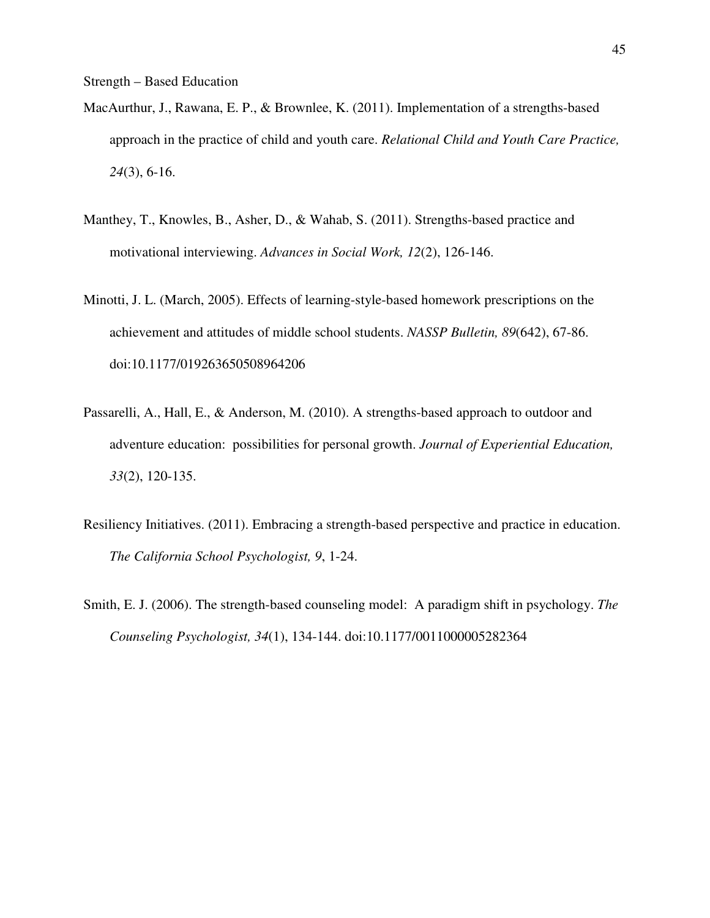- MacAurthur, J., Rawana, E. P., & Brownlee, K. (2011). Implementation of a strengths-based approach in the practice of child and youth care. *Relational Child and Youth Care Practice, 24*(3), 6-16.
- Manthey, T., Knowles, B., Asher, D., & Wahab, S. (2011). Strengths-based practice and motivational interviewing. *Advances in Social Work, 12*(2), 126-146.
- Minotti, J. L. (March, 2005). Effects of learning-style-based homework prescriptions on the achievement and attitudes of middle school students. *NASSP Bulletin, 89*(642), 67-86. doi:10.1177/019263650508964206
- Passarelli, A., Hall, E., & Anderson, M. (2010). A strengths-based approach to outdoor and adventure education: possibilities for personal growth. *Journal of Experiential Education, 33*(2), 120-135.
- Resiliency Initiatives. (2011). Embracing a strength-based perspective and practice in education. *The California School Psychologist, 9*, 1-24.
- Smith, E. J. (2006). The strength-based counseling model: A paradigm shift in psychology. *The Counseling Psychologist, 34*(1), 134-144. doi:10.1177/0011000005282364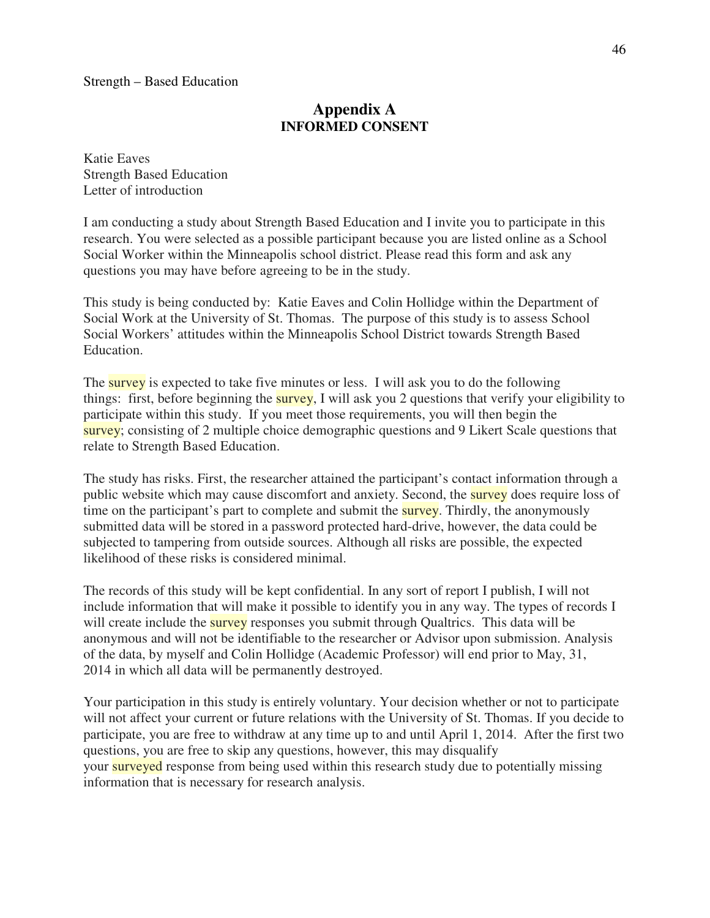### **Appendix A INFORMED CONSENT**

Katie Eaves Strength Based Education Letter of introduction

I am conducting a study about Strength Based Education and I invite you to participate in this research. You were selected as a possible participant because you are listed online as a School Social Worker within the Minneapolis school district. Please read this form and ask any questions you may have before agreeing to be in the study.

This study is being conducted by: Katie Eaves and Colin Hollidge within the Department of Social Work at the University of St. Thomas. The purpose of this study is to assess School Social Workers' attitudes within the Minneapolis School District towards Strength Based Education.

The survey is expected to take five minutes or less. I will ask you to do the following things: first, before beginning the survey, I will ask you 2 questions that verify your eligibility to participate within this study. If you meet those requirements, you will then begin the survey; consisting of 2 multiple choice demographic questions and 9 Likert Scale questions that relate to Strength Based Education.

The study has risks. First, the researcher attained the participant's contact information through a public website which may cause discomfort and anxiety. Second, the survey does require loss of time on the participant's part to complete and submit the **survey**. Thirdly, the anonymously submitted data will be stored in a password protected hard-drive, however, the data could be subjected to tampering from outside sources. Although all risks are possible, the expected likelihood of these risks is considered minimal.

The records of this study will be kept confidential. In any sort of report I publish, I will not include information that will make it possible to identify you in any way. The types of records I will create include the survey responses you submit through Qualtrics. This data will be anonymous and will not be identifiable to the researcher or Advisor upon submission. Analysis of the data, by myself and Colin Hollidge (Academic Professor) will end prior to May, 31, 2014 in which all data will be permanently destroyed.

Your participation in this study is entirely voluntary. Your decision whether or not to participate will not affect your current or future relations with the University of St. Thomas. If you decide to participate, you are free to withdraw at any time up to and until April 1, 2014. After the first two questions, you are free to skip any questions, however, this may disqualify your surveyed response from being used within this research study due to potentially missing information that is necessary for research analysis.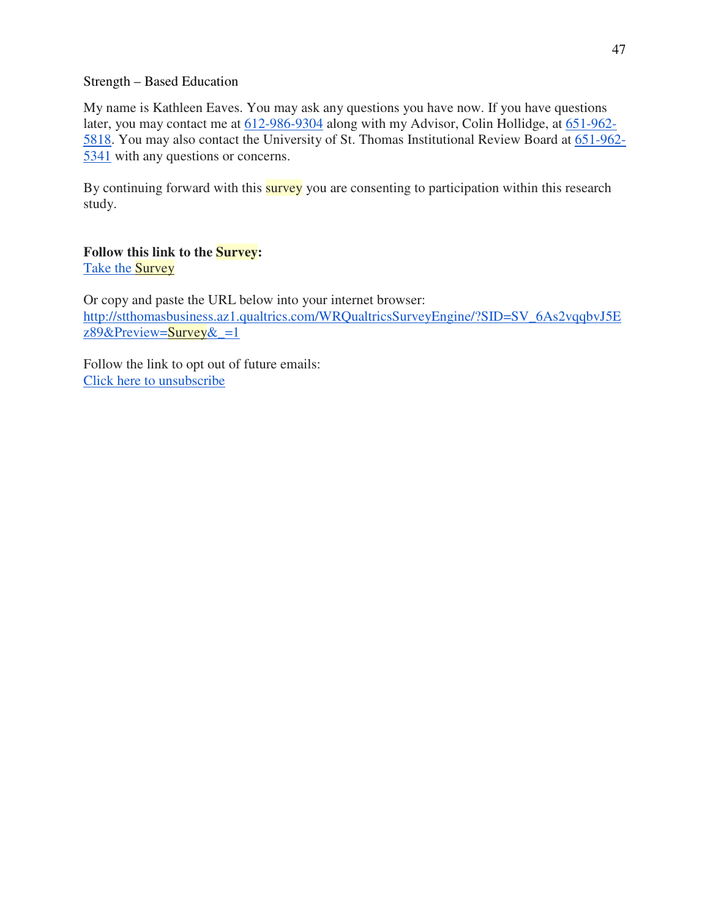My name is Kathleen Eaves. You may ask any questions you have now. If you have questions later, you may contact me at 612-986-9304 along with my Advisor, Colin Hollidge, at 651-962- 5818. You may also contact the University of St. Thomas Institutional Review Board at 651-962- 5341 with any questions or concerns.

By continuing forward with this **survey** you are consenting to participation within this research study.

#### **Follow this link to the Survey:** Take the Survey

Or copy and paste the URL below into your internet browser: http://stthomasbusiness.az1.qualtrics.com/WRQualtricsSurveyEngine/?SID=SV\_6As2vqqbvJ5E z89&Preview=Survey $\&$  =1

Follow the link to opt out of future emails: Click here to unsubscribe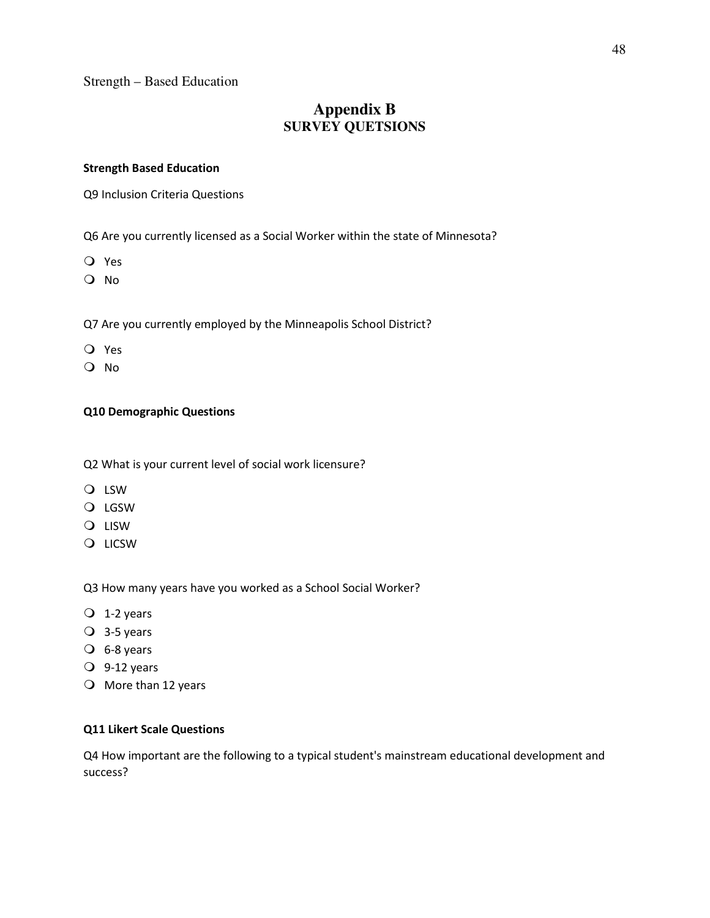## **Appendix B SURVEY QUETSIONS**

#### Strength Based Education

Q9 Inclusion Criteria Questions

Q6 Are you currently licensed as a Social Worker within the state of Minnesota?

Yes

O No

Q7 Are you currently employed by the Minneapolis School District?

- Yes
- O No

#### Q10 Demographic Questions

Q2 What is your current level of social work licensure?

- LSW
- O LGSW
- **O** LISW
- **O** LICSW

Q3 How many years have you worked as a School Social Worker?

- $Q$  1-2 years
- $Q$  3-5 years
- $O$  6-8 years
- $Q$  9-12 years
- $\bigcirc$  More than 12 years

#### Q11 Likert Scale Questions

Q4 How important are the following to a typical student's mainstream educational development and success?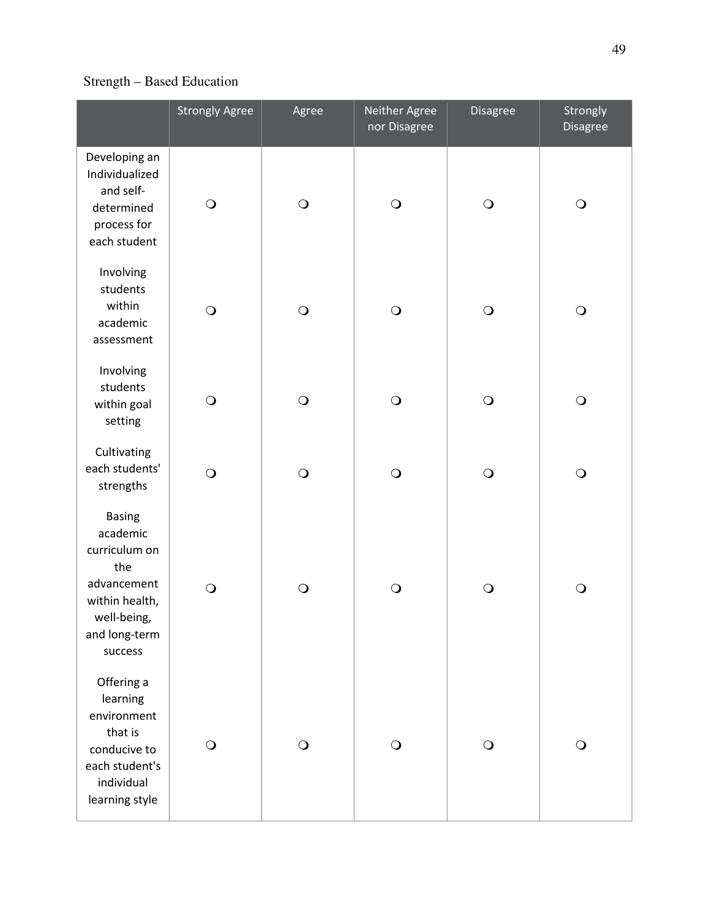|                                                                                                                               | <b>Strongly Agree</b> | Agree      | Neither Agree<br>nor Disagree | Disagree     | Strongly<br>Disagree |
|-------------------------------------------------------------------------------------------------------------------------------|-----------------------|------------|-------------------------------|--------------|----------------------|
| Developing an<br>Individualized<br>and self-<br>determined<br>process for<br>each student                                     | $\bigcirc$            | $\bigcirc$ | $\bigcirc$                    | $\bigcirc$   | $\mathbf O$          |
| Involving<br>students<br>within<br>academic<br>assessment                                                                     | $\bigcirc$            | $\bigcirc$ | $\bigcirc$                    | $\bigcirc$   | $\bigcirc$           |
| Involving<br>students<br>within goal<br>setting                                                                               | $\bigcirc$            | $\bigcirc$ | $\bigcirc$                    | $\bigcirc$   | $\bigcirc$           |
| Cultivating<br>each students'<br>strengths                                                                                    | $\bigcirc$            | $\bigcirc$ | $\bigcirc$                    | $\bigcirc$   | $\bigcirc$           |
| <b>Basing</b><br>academic<br>curriculum on<br>the<br>advancement<br>within health,<br>well-being,<br>and long-term<br>success | $\bigcirc$            | $\bigcirc$ | $\bigcirc$                    | $\bigcirc$   | $\bigcirc$           |
| Offering a<br>learning<br>environment<br>that is<br>conducive to<br>each student's<br>individual<br>learning style            | $\bigcirc$            | $\bigcirc$ | $\bigcirc$                    | $\mathbf{O}$ | $\bigcirc$           |